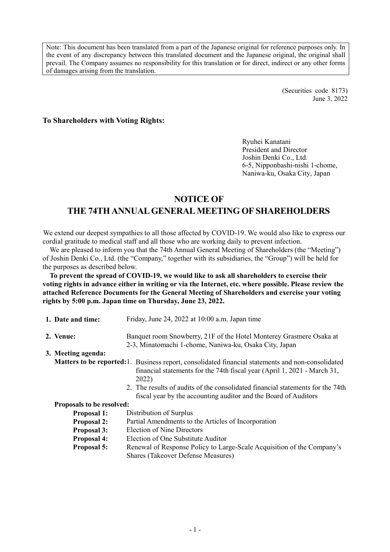Note: This document has been translated from a part of the Japanese original for reference purposes only. In the event of any discrepancy between this translated document and the Japanese original, the original shall prevail. The Company assumes no responsibility for this translation or for direct, indirect or any other forms of damages arising from the translation.

> (Securities code 8173) June 3, 2022

# **To Shareholders with Voting Rights:**

Ryuhei Kanatani President and Director Joshin Denki Co., Ltd. 6-5, Nipponbashi-nishi 1-chome, Naniwa-ku, Osaka City, Japan

# **NOTICE OF THE 74TH ANNUALGENERALMEETING OF SHAREHOLDERS**

We extend our deepest sympathies to all those affected by COVID-19. We would also like to express our cordial gratitude to medical staff and all those who are working daily to prevent infection.

We are pleased to inform you that the 74th Annual General Meeting of Shareholders (the "Meeting") of Joshin Denki Co., Ltd. (the "Company," together with its subsidiaries, the "Group") will be held for the purposes as described below.

**To prevent the spread of COVID-19, we would like to ask all shareholders to exercise their voting rights in advance either in writing or via the Internet, etc. where possible. Please review the attached Reference Documents for the General Meeting of Shareholders and exercise your voting rights by 5:00 p.m. Japan time on Thursday, June 23, 2022.**

| 1. Date and time:                | Friday, June 24, 2022 at 10:00 a.m. Japan time                                                                                                                                                                                                                                                                                                      |  |  |  |
|----------------------------------|-----------------------------------------------------------------------------------------------------------------------------------------------------------------------------------------------------------------------------------------------------------------------------------------------------------------------------------------------------|--|--|--|
| 2. Venue:                        | Banquet room Snowberry, 21F of the Hotel Monterey Grasmere Osaka at<br>2-3, Minatomachi 1-chome, Naniwa-ku, Osaka City, Japan                                                                                                                                                                                                                       |  |  |  |
| 3. Meeting agenda:               |                                                                                                                                                                                                                                                                                                                                                     |  |  |  |
|                                  | <b>Matters to be reported:</b> 1. Business report, consolidated financial statements and non-consolidated<br>financial statements for the 74th fiscal year (April 1, 2021 - March 31,<br>2022)<br>2. The results of audits of the consolidated financial statements for the 74th<br>fiscal year by the accounting auditor and the Board of Auditors |  |  |  |
| <b>Proposals to be resolved:</b> |                                                                                                                                                                                                                                                                                                                                                     |  |  |  |
| <b>Proposal 1:</b>               | Distribution of Surplus                                                                                                                                                                                                                                                                                                                             |  |  |  |
| <b>Proposal 2:</b>               | Partial Amendments to the Articles of Incorporation                                                                                                                                                                                                                                                                                                 |  |  |  |
| <b>Proposal 3:</b>               | <b>Election of Nine Directors</b>                                                                                                                                                                                                                                                                                                                   |  |  |  |
| <b>Proposal 4:</b>               | Election of One Substitute Auditor                                                                                                                                                                                                                                                                                                                  |  |  |  |
| <b>Proposal 5:</b>               | Renewal of Response Policy to Large-Scale Acquisition of the Company's<br><b>Shares (Takeover Defense Measures)</b>                                                                                                                                                                                                                                 |  |  |  |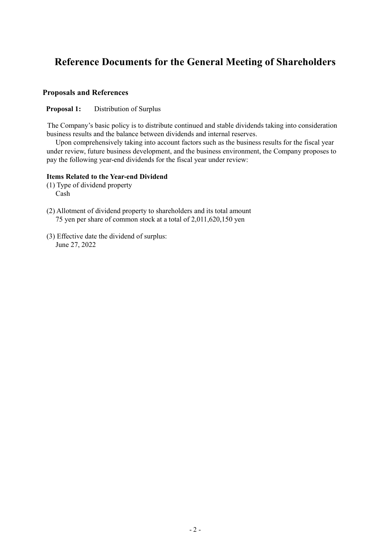# **Reference Documents for the General Meeting of Shareholders**

# **Proposals and References**

**Proposal 1:** Distribution of Surplus

The Company's basic policy is to distribute continued and stable dividends taking into consideration business results and the balance between dividends and internal reserves.

Upon comprehensively taking into account factors such as the business results for the fiscal year under review, future business development, and the business environment, the Company proposes to pay the following year-end dividends for the fiscal year under review:

### **Items Related to the Year-end Dividend**

- (1) Type of dividend property Cash
- (2) Allotment of dividend property to shareholders and its total amount 75 yen per share of common stock at a total of 2,011,620,150 yen
- (3) Effective date the dividend of surplus: June 27, 2022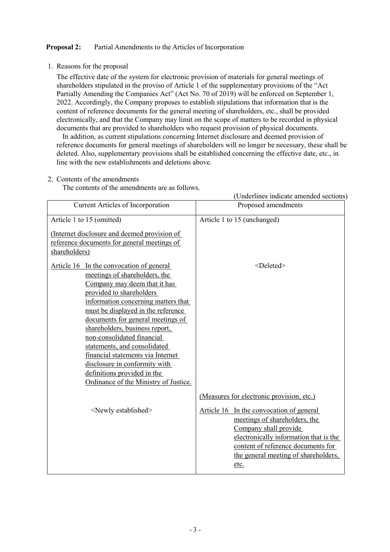# **Proposal 2:** Partial Amendments to the Articles of Incorporation

1. Reasons for the proposal

The effective date of the system for electronic provision of materials for general meetings of shareholders stipulated in the proviso of Article 1 of the supplementary provisions of the "Act Partially Amending the Companies Act" (Act No. 70 of 2019) will be enforced on September 1, 2022. Accordingly, the Company proposes to establish stipulations that information that is the content of reference documents for the general meeting of shareholders, etc., shall be provided electronically, and that the Company may limit on the scope of matters to be recorded in physical documents that are provided to shareholders who request provision of physical documents.

In addition, as current stipulations concerning Internet disclosure and deemed provision of reference documents for general meetings of shareholders will no longer be necessary, these shall be deleted. Also, supplementary provisions shall be established concerning the effective date, etc., in line with the new establishments and deletions above.

2. Contents of the amendments

The contents of the amendments are as follows.

|                                              | (Underlines indicate amended sections)    |
|----------------------------------------------|-------------------------------------------|
| Current Articles of Incorporation            | Proposed amendments                       |
| Article 1 to 15 (omitted)                    | Article 1 to 15 (unchanged)               |
| (Internet disclosure and deemed provision of |                                           |
| reference documents for general meetings of  |                                           |
| shareholders)                                |                                           |
| Article 16 In the convocation of general     | <deleted></deleted>                       |
| meetings of shareholders, the                |                                           |
| Company may deem that it has                 |                                           |
| provided to shareholders                     |                                           |
| information concerning matters that          |                                           |
| must be displayed in the reference           |                                           |
| documents for general meetings of            |                                           |
| shareholders, business report,               |                                           |
| non-consolidated financial                   |                                           |
| statements, and consolidated                 |                                           |
| financial statements via Internet            |                                           |
| disclosure in conformity with                |                                           |
| definitions provided in the                  |                                           |
| Ordinance of the Ministry of Justice.        |                                           |
|                                              | (Measures for electronic provision, etc.) |
| <newly established=""></newly>               | Article 16 In the convocation of general  |
|                                              | meetings of shareholders, the             |
|                                              | Company shall provide                     |
|                                              | electronically information that is the    |
|                                              | content of reference documents for        |
|                                              | the general meeting of shareholders,      |
|                                              | etc.                                      |
|                                              |                                           |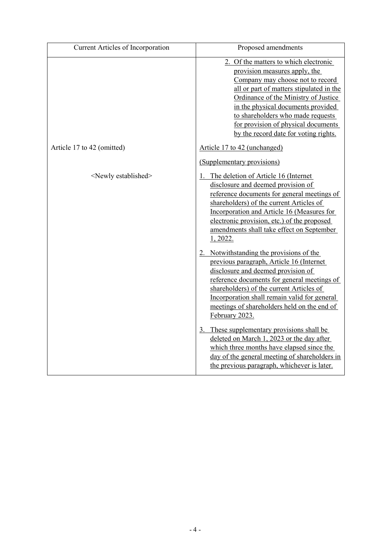| Current Articles of Incorporation | Proposed amendments                                                                                                                                                                                                                                                                                                                                       |
|-----------------------------------|-----------------------------------------------------------------------------------------------------------------------------------------------------------------------------------------------------------------------------------------------------------------------------------------------------------------------------------------------------------|
|                                   | 2. Of the matters to which electronic<br>provision measures apply, the<br>Company may choose not to record<br>all or part of matters stipulated in the<br>Ordinance of the Ministry of Justice<br>in the physical documents provided<br>to shareholders who made requests<br>for provision of physical documents<br>by the record date for voting rights. |
| Article 17 to 42 (omitted)        | Article 17 to 42 (unchanged)                                                                                                                                                                                                                                                                                                                              |
|                                   | (Supplementary provisions)                                                                                                                                                                                                                                                                                                                                |
| <newly established=""></newly>    | 1. The deletion of Article 16 (Internet<br>disclosure and deemed provision of<br>reference documents for general meetings of<br>shareholders) of the current Articles of<br>Incorporation and Article 16 (Measures for<br>electronic provision, etc.) of the proposed<br>amendments shall take effect on September<br>1, 2022.                            |
|                                   | Notwithstanding the provisions of the<br>previous paragraph, Article 16 (Internet<br>disclosure and deemed provision of<br>reference documents for general meetings of<br>shareholders) of the current Articles of<br>Incorporation shall remain valid for general<br>meetings of shareholders held on the end of<br>February 2023.                       |
|                                   | 3. These supplementary provisions shall be<br>deleted on March 1, 2023 or the day after<br>which three months have elapsed since the<br>day of the general meeting of shareholders in<br>the previous paragraph, whichever is later.                                                                                                                      |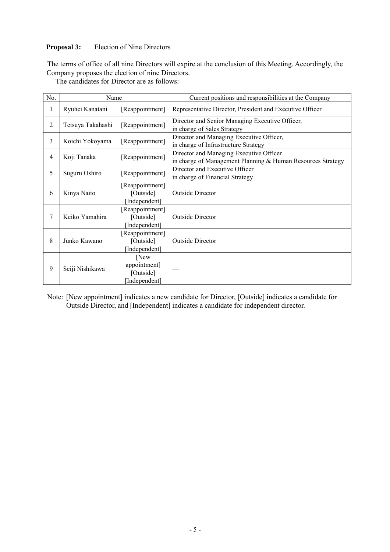# **Proposal 3:** Election of Nine Directors

The terms of office of all nine Directors will expire at the conclusion of this Meeting. Accordingly, the Company proposes the election of nine Directors.

The candidates for Director are as follows:

| No. | Name              |                                                    | Current positions and responsibilities at the Company                                                  |
|-----|-------------------|----------------------------------------------------|--------------------------------------------------------------------------------------------------------|
| 1   | Ryuhei Kanatani   | [Reappointment]                                    | Representative Director, President and Executive Officer                                               |
| 2   | Tetsuya Takahashi | [Reappointment]                                    | Director and Senior Managing Executive Officer,<br>in charge of Sales Strategy                         |
| 3   | Koichi Yokoyama   | [Reappointment]                                    | Director and Managing Executive Officer,<br>in charge of Infrastructure Strategy                       |
| 4   | Koji Tanaka       | [Reappointment]                                    | Director and Managing Executive Officer<br>in charge of Management Planning & Human Resources Strategy |
| 5   | Suguru Oshiro     | [Reappointment]                                    | Director and Executive Officer<br>in charge of Financial Strategy                                      |
| 6   | Kinya Naito       | [Reappointment]<br>[Outside]<br>[Independent]      | <b>Outside Director</b>                                                                                |
| 7   | Keiko Yamahira    | [Reappointment]<br>[Outside]<br>[Independent]      | Outside Director                                                                                       |
| 8   | Junko Kawano      | [Reappointment]<br>[Outside]<br>[Independent]      | <b>Outside Director</b>                                                                                |
| 9   | Seiji Nishikawa   | [New<br>appointment]<br>[Outside]<br>[Independent] |                                                                                                        |

Note: [New appointment] indicates a new candidate for Director, [Outside] indicates a candidate for Outside Director, and [Independent] indicates a candidate for independent director.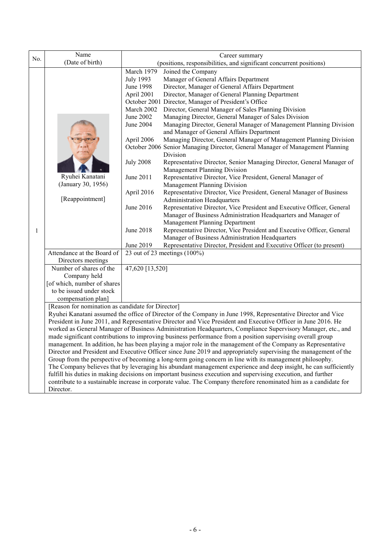| No. | Name<br>(Date of birth)                                                                                                                                                                                                                                                                                                                                                                                                                                                                                                                                                                                                                                                                                                                                                                                                                                                                                                                                                                                                                                                                                                                                                                                                                 |                                                                                                                                                                                          | Career summary<br>(positions, responsibilities, and significant concurrent positions)                                                                                                                                                                                                                                                                                                                                                                                                                                                                                                                                                                                                                                                                                                                                                                                                                                                                                                                                                                                                                                                                                                                                                                                    |  |
|-----|-----------------------------------------------------------------------------------------------------------------------------------------------------------------------------------------------------------------------------------------------------------------------------------------------------------------------------------------------------------------------------------------------------------------------------------------------------------------------------------------------------------------------------------------------------------------------------------------------------------------------------------------------------------------------------------------------------------------------------------------------------------------------------------------------------------------------------------------------------------------------------------------------------------------------------------------------------------------------------------------------------------------------------------------------------------------------------------------------------------------------------------------------------------------------------------------------------------------------------------------|------------------------------------------------------------------------------------------------------------------------------------------------------------------------------------------|--------------------------------------------------------------------------------------------------------------------------------------------------------------------------------------------------------------------------------------------------------------------------------------------------------------------------------------------------------------------------------------------------------------------------------------------------------------------------------------------------------------------------------------------------------------------------------------------------------------------------------------------------------------------------------------------------------------------------------------------------------------------------------------------------------------------------------------------------------------------------------------------------------------------------------------------------------------------------------------------------------------------------------------------------------------------------------------------------------------------------------------------------------------------------------------------------------------------------------------------------------------------------|--|
| 1   | Ryuhei Kanatani<br>(January 30, 1956)<br>[Reappointment]                                                                                                                                                                                                                                                                                                                                                                                                                                                                                                                                                                                                                                                                                                                                                                                                                                                                                                                                                                                                                                                                                                                                                                                | March 1979<br><b>July 1993</b><br>June 1998<br>April 2001<br>March 2002<br>June 2002<br>June 2004<br>April 2006<br><b>July 2008</b><br>June 2011<br>April 2016<br>June 2016<br>June 2018 | Joined the Company<br>Manager of General Affairs Department<br>Director, Manager of General Affairs Department<br>Director, Manager of General Planning Department<br>October 2001 Director, Manager of President's Office<br>Director, General Manager of Sales Planning Division<br>Managing Director, General Manager of Sales Division<br>Managing Director, General Manager of Management Planning Division<br>and Manager of General Affairs Department<br>Managing Director, General Manager of Management Planning Division<br>October 2006 Senior Managing Director, General Manager of Management Planning<br>Division<br>Representative Director, Senior Managing Director, General Manager of<br>Management Planning Division<br>Representative Director, Vice President, General Manager of<br><b>Management Planning Division</b><br>Representative Director, Vice President, General Manager of Business<br><b>Administration Headquarters</b><br>Representative Director, Vice President and Executive Officer, General<br>Manager of Business Administration Headquarters and Manager of<br>Management Planning Department<br>Representative Director, Vice President and Executive Officer, General<br>Manager of Business Administration Headquarters |  |
|     | Attendance at the Board of                                                                                                                                                                                                                                                                                                                                                                                                                                                                                                                                                                                                                                                                                                                                                                                                                                                                                                                                                                                                                                                                                                                                                                                                              | June 2019                                                                                                                                                                                | Representative Director, President and Executive Officer (to present)<br>23 out of 23 meetings (100%)                                                                                                                                                                                                                                                                                                                                                                                                                                                                                                                                                                                                                                                                                                                                                                                                                                                                                                                                                                                                                                                                                                                                                                    |  |
|     | Directors meetings<br>Number of shares of the<br>Company held<br>[of which, number of shares<br>to be issued under stock<br>compensation plan]                                                                                                                                                                                                                                                                                                                                                                                                                                                                                                                                                                                                                                                                                                                                                                                                                                                                                                                                                                                                                                                                                          | 47,620 [13,520]                                                                                                                                                                          |                                                                                                                                                                                                                                                                                                                                                                                                                                                                                                                                                                                                                                                                                                                                                                                                                                                                                                                                                                                                                                                                                                                                                                                                                                                                          |  |
|     | [Reason for nomination as candidate for Director]<br>Ryuhei Kanatani assumed the office of Director of the Company in June 1998, Representative Director and Vice<br>President in June 2011, and Representative Director and Vice President and Executive Officer in June 2016. He<br>worked as General Manager of Business Administration Headquarters, Compliance Supervisory Manager, etc., and<br>made significant contributions to improving business performance from a position supervising overall group<br>management. In addition, he has been playing a major role in the management of the Company as Representative<br>Director and President and Executive Officer since June 2019 and appropriately supervising the management of the<br>Group from the perspective of becoming a long-term going concern in line with its management philosophy.<br>The Company believes that by leveraging his abundant management experience and deep insight, he can sufficiently<br>fulfill his duties in making decisions on important business execution and supervising execution, and further<br>contribute to a sustainable increase in corporate value. The Company therefore renominated him as a candidate for<br>Director. |                                                                                                                                                                                          |                                                                                                                                                                                                                                                                                                                                                                                                                                                                                                                                                                                                                                                                                                                                                                                                                                                                                                                                                                                                                                                                                                                                                                                                                                                                          |  |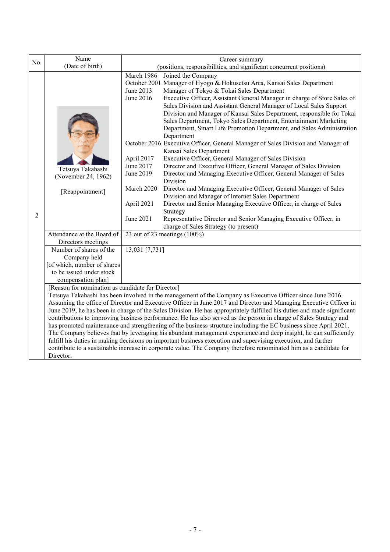| No.                                                                                                                                                                                                                                                                                                                                                                                                                                                                                                                                                                                                                                                                                                                                                                                                                                                                                                                                                                                                                            | Name                                                                                                                     |                                                                     | Career summary                                                                                                                                                                                                                                                                                                                                                                                                                                                                                                                      |  |
|--------------------------------------------------------------------------------------------------------------------------------------------------------------------------------------------------------------------------------------------------------------------------------------------------------------------------------------------------------------------------------------------------------------------------------------------------------------------------------------------------------------------------------------------------------------------------------------------------------------------------------------------------------------------------------------------------------------------------------------------------------------------------------------------------------------------------------------------------------------------------------------------------------------------------------------------------------------------------------------------------------------------------------|--------------------------------------------------------------------------------------------------------------------------|---------------------------------------------------------------------|-------------------------------------------------------------------------------------------------------------------------------------------------------------------------------------------------------------------------------------------------------------------------------------------------------------------------------------------------------------------------------------------------------------------------------------------------------------------------------------------------------------------------------------|--|
|                                                                                                                                                                                                                                                                                                                                                                                                                                                                                                                                                                                                                                                                                                                                                                                                                                                                                                                                                                                                                                | (Date of birth)                                                                                                          | (positions, responsibilities, and significant concurrent positions) |                                                                                                                                                                                                                                                                                                                                                                                                                                                                                                                                     |  |
|                                                                                                                                                                                                                                                                                                                                                                                                                                                                                                                                                                                                                                                                                                                                                                                                                                                                                                                                                                                                                                |                                                                                                                          | March 1986<br>June 2013<br>June 2016                                | Joined the Company<br>October 2001 Manager of Hyogo & Hokusetsu Area, Kansai Sales Department<br>Manager of Tokyo & Tokai Sales Department<br>Executive Officer, Assistant General Manager in charge of Store Sales of<br>Sales Division and Assistant General Manager of Local Sales Support<br>Division and Manager of Kansai Sales Department, responsible for Tokai<br>Sales Department, Tokyo Sales Department, Entertainment Marketing<br>Department, Smart Life Promotion Department, and Sales Administration<br>Department |  |
|                                                                                                                                                                                                                                                                                                                                                                                                                                                                                                                                                                                                                                                                                                                                                                                                                                                                                                                                                                                                                                | Tetsuya Takahashi                                                                                                        | April 2017<br>June 2017<br>June 2019                                | October 2016 Executive Officer, General Manager of Sales Division and Manager of<br>Kansai Sales Department<br>Executive Officer, General Manager of Sales Division<br>Director and Executive Officer, General Manager of Sales Division<br>Director and Managing Executive Officer, General Manager of Sales                                                                                                                                                                                                                       |  |
|                                                                                                                                                                                                                                                                                                                                                                                                                                                                                                                                                                                                                                                                                                                                                                                                                                                                                                                                                                                                                                | (November 24, 1962)<br>[Reappointment]                                                                                   | March 2020                                                          | Division<br>Director and Managing Executive Officer, General Manager of Sales<br>Division and Manager of Internet Sales Department                                                                                                                                                                                                                                                                                                                                                                                                  |  |
| 2                                                                                                                                                                                                                                                                                                                                                                                                                                                                                                                                                                                                                                                                                                                                                                                                                                                                                                                                                                                                                              |                                                                                                                          | April 2021<br>June 2021                                             | Director and Senior Managing Executive Officer, in charge of Sales<br>Strategy<br>Representative Director and Senior Managing Executive Officer, in<br>charge of Sales Strategy (to present)                                                                                                                                                                                                                                                                                                                                        |  |
|                                                                                                                                                                                                                                                                                                                                                                                                                                                                                                                                                                                                                                                                                                                                                                                                                                                                                                                                                                                                                                | Attendance at the Board of<br>Directors meetings                                                                         |                                                                     | 23 out of 23 meetings $(100\%)$                                                                                                                                                                                                                                                                                                                                                                                                                                                                                                     |  |
|                                                                                                                                                                                                                                                                                                                                                                                                                                                                                                                                                                                                                                                                                                                                                                                                                                                                                                                                                                                                                                | Number of shares of the<br>Company held<br>[of which, number of shares<br>to be issued under stock<br>compensation plan] | 13,031 [7,731]                                                      |                                                                                                                                                                                                                                                                                                                                                                                                                                                                                                                                     |  |
| [Reason for nomination as candidate for Director]<br>Tetsuya Takahashi has been involved in the management of the Company as Executive Officer since June 2016.<br>Assuming the office of Director and Executive Officer in June 2017 and Director and Managing Executive Officer in<br>June 2019, he has been in charge of the Sales Division. He has appropriately fulfilled his duties and made significant<br>contributions to improving business performance. He has also served as the person in charge of Sales Strategy and<br>has promoted maintenance and strengthening of the business structure including the EC business since April 2021.<br>The Company believes that by leveraging his abundant management experience and deep insight, he can sufficiently<br>fulfill his duties in making decisions on important business execution and supervising execution, and further<br>contribute to a sustainable increase in corporate value. The Company therefore renominated him as a candidate for<br>Director. |                                                                                                                          |                                                                     |                                                                                                                                                                                                                                                                                                                                                                                                                                                                                                                                     |  |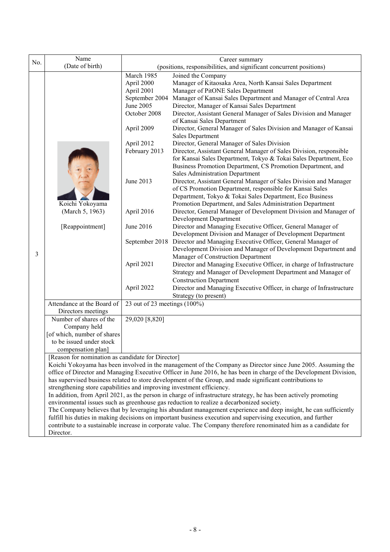|                                                                                                                                                                                                                                    | Name                                                                                                                                                                                                                               |                                                                                          | Career summary                                                                                                   |  |  |  |
|------------------------------------------------------------------------------------------------------------------------------------------------------------------------------------------------------------------------------------|------------------------------------------------------------------------------------------------------------------------------------------------------------------------------------------------------------------------------------|------------------------------------------------------------------------------------------|------------------------------------------------------------------------------------------------------------------|--|--|--|
| No.                                                                                                                                                                                                                                | (Date of birth)                                                                                                                                                                                                                    |                                                                                          | (positions, responsibilities, and significant concurrent positions)                                              |  |  |  |
|                                                                                                                                                                                                                                    |                                                                                                                                                                                                                                    | March 1985                                                                               | Joined the Company                                                                                               |  |  |  |
|                                                                                                                                                                                                                                    |                                                                                                                                                                                                                                    | April 2000                                                                               | Manager of Kitaosaka Area, North Kansai Sales Department                                                         |  |  |  |
|                                                                                                                                                                                                                                    |                                                                                                                                                                                                                                    | April 2001                                                                               | Manager of PitONE Sales Department                                                                               |  |  |  |
|                                                                                                                                                                                                                                    |                                                                                                                                                                                                                                    | September 2004                                                                           | Manager of Kansai Sales Department and Manager of Central Area                                                   |  |  |  |
|                                                                                                                                                                                                                                    |                                                                                                                                                                                                                                    | June 2005                                                                                | Director, Manager of Kansai Sales Department                                                                     |  |  |  |
|                                                                                                                                                                                                                                    |                                                                                                                                                                                                                                    | October 2008                                                                             | Director, Assistant General Manager of Sales Division and Manager                                                |  |  |  |
|                                                                                                                                                                                                                                    |                                                                                                                                                                                                                                    | April 2009                                                                               | of Kansai Sales Department                                                                                       |  |  |  |
|                                                                                                                                                                                                                                    |                                                                                                                                                                                                                                    |                                                                                          | Director, General Manager of Sales Division and Manager of Kansai<br><b>Sales Department</b>                     |  |  |  |
|                                                                                                                                                                                                                                    |                                                                                                                                                                                                                                    | April 2012                                                                               | Director, General Manager of Sales Division                                                                      |  |  |  |
|                                                                                                                                                                                                                                    |                                                                                                                                                                                                                                    | February 2013                                                                            | Director, Assistant General Manager of Sales Division, responsible                                               |  |  |  |
|                                                                                                                                                                                                                                    |                                                                                                                                                                                                                                    |                                                                                          | for Kansai Sales Department, Tokyo & Tokai Sales Department, Eco                                                 |  |  |  |
|                                                                                                                                                                                                                                    |                                                                                                                                                                                                                                    |                                                                                          | Business Promotion Department, CS Promotion Department, and                                                      |  |  |  |
|                                                                                                                                                                                                                                    |                                                                                                                                                                                                                                    |                                                                                          | <b>Sales Administration Department</b>                                                                           |  |  |  |
|                                                                                                                                                                                                                                    |                                                                                                                                                                                                                                    | June 2013                                                                                | Director, Assistant General Manager of Sales Division and Manager                                                |  |  |  |
|                                                                                                                                                                                                                                    |                                                                                                                                                                                                                                    |                                                                                          | of CS Promotion Department, responsible for Kansai Sales                                                         |  |  |  |
|                                                                                                                                                                                                                                    |                                                                                                                                                                                                                                    |                                                                                          | Department, Tokyo & Tokai Sales Department, Eco Business                                                         |  |  |  |
|                                                                                                                                                                                                                                    | Koichi Yokoyama                                                                                                                                                                                                                    |                                                                                          | Promotion Department, and Sales Administration Department                                                        |  |  |  |
|                                                                                                                                                                                                                                    | (March 5, 1963)                                                                                                                                                                                                                    | April 2016                                                                               | Director, General Manager of Development Division and Manager of<br>Development Department                       |  |  |  |
|                                                                                                                                                                                                                                    | [Reappointment]                                                                                                                                                                                                                    | June 2016                                                                                | Director and Managing Executive Officer, General Manager of                                                      |  |  |  |
|                                                                                                                                                                                                                                    |                                                                                                                                                                                                                                    |                                                                                          | Development Division and Manager of Development Department                                                       |  |  |  |
|                                                                                                                                                                                                                                    |                                                                                                                                                                                                                                    |                                                                                          | September 2018 Director and Managing Executive Officer, General Manager of                                       |  |  |  |
|                                                                                                                                                                                                                                    |                                                                                                                                                                                                                                    |                                                                                          | Development Division and Manager of Development Department and                                                   |  |  |  |
| 3                                                                                                                                                                                                                                  |                                                                                                                                                                                                                                    |                                                                                          | Manager of Construction Department                                                                               |  |  |  |
|                                                                                                                                                                                                                                    |                                                                                                                                                                                                                                    | April 2021                                                                               | Director and Managing Executive Officer, in charge of Infrastructure                                             |  |  |  |
|                                                                                                                                                                                                                                    |                                                                                                                                                                                                                                    |                                                                                          | Strategy and Manager of Development Department and Manager of                                                    |  |  |  |
|                                                                                                                                                                                                                                    |                                                                                                                                                                                                                                    |                                                                                          | <b>Construction Department</b>                                                                                   |  |  |  |
|                                                                                                                                                                                                                                    |                                                                                                                                                                                                                                    | April 2022                                                                               | Director and Managing Executive Officer, in charge of Infrastructure                                             |  |  |  |
|                                                                                                                                                                                                                                    | Attendance at the Board of                                                                                                                                                                                                         | 23 out of 23 meetings $(100\%)$                                                          | Strategy (to present)                                                                                            |  |  |  |
|                                                                                                                                                                                                                                    | Directors meetings                                                                                                                                                                                                                 |                                                                                          |                                                                                                                  |  |  |  |
|                                                                                                                                                                                                                                    | Number of shares of the                                                                                                                                                                                                            | 29,020 [8,820]                                                                           |                                                                                                                  |  |  |  |
|                                                                                                                                                                                                                                    | Company held                                                                                                                                                                                                                       |                                                                                          |                                                                                                                  |  |  |  |
|                                                                                                                                                                                                                                    | [of which, number of shares                                                                                                                                                                                                        |                                                                                          |                                                                                                                  |  |  |  |
|                                                                                                                                                                                                                                    | to be issued under stock                                                                                                                                                                                                           |                                                                                          |                                                                                                                  |  |  |  |
|                                                                                                                                                                                                                                    | compensation plan]                                                                                                                                                                                                                 |                                                                                          |                                                                                                                  |  |  |  |
|                                                                                                                                                                                                                                    | [Reason for nomination as candidate for Director]                                                                                                                                                                                  |                                                                                          |                                                                                                                  |  |  |  |
|                                                                                                                                                                                                                                    | Koichi Yokoyama has been involved in the management of the Company as Director since June 2005. Assuming the<br>office of Director and Managing Executive Officer in June 2016, he has been in charge of the Development Division, |                                                                                          |                                                                                                                  |  |  |  |
| has supervised business related to store development of the Group, and made significant contributions to                                                                                                                           |                                                                                                                                                                                                                                    |                                                                                          |                                                                                                                  |  |  |  |
|                                                                                                                                                                                                                                    | strengthening store capabilities and improving investment efficiency.                                                                                                                                                              |                                                                                          |                                                                                                                  |  |  |  |
|                                                                                                                                                                                                                                    |                                                                                                                                                                                                                                    |                                                                                          | In addition, from April 2021, as the person in charge of infrastructure strategy, he has been actively promoting |  |  |  |
|                                                                                                                                                                                                                                    |                                                                                                                                                                                                                                    | environmental issues such as greenhouse gas reduction to realize a decarbonized society. |                                                                                                                  |  |  |  |
|                                                                                                                                                                                                                                    | The Company believes that by leveraging his abundant management experience and deep insight, he can sufficiently                                                                                                                   |                                                                                          |                                                                                                                  |  |  |  |
| fulfill his duties in making decisions on important business execution and supervising execution, and further<br>contribute to a sustainable increase in corporate value. The Company therefore renominated him as a candidate for |                                                                                                                                                                                                                                    |                                                                                          |                                                                                                                  |  |  |  |
|                                                                                                                                                                                                                                    | Director.                                                                                                                                                                                                                          |                                                                                          |                                                                                                                  |  |  |  |
|                                                                                                                                                                                                                                    |                                                                                                                                                                                                                                    |                                                                                          |                                                                                                                  |  |  |  |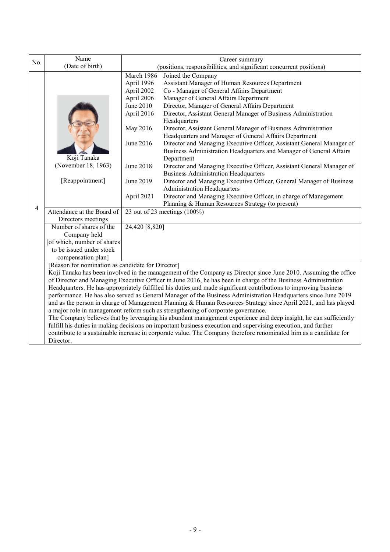| (positions, responsibilities, and significant concurrent positions)<br>Director, Assistant General Manager of Business Administration                                                              |  |  |  |  |
|----------------------------------------------------------------------------------------------------------------------------------------------------------------------------------------------------|--|--|--|--|
|                                                                                                                                                                                                    |  |  |  |  |
|                                                                                                                                                                                                    |  |  |  |  |
|                                                                                                                                                                                                    |  |  |  |  |
|                                                                                                                                                                                                    |  |  |  |  |
|                                                                                                                                                                                                    |  |  |  |  |
|                                                                                                                                                                                                    |  |  |  |  |
|                                                                                                                                                                                                    |  |  |  |  |
|                                                                                                                                                                                                    |  |  |  |  |
| Director, Assistant General Manager of Business Administration                                                                                                                                     |  |  |  |  |
| Headquarters and Manager of General Affairs Department                                                                                                                                             |  |  |  |  |
| Director and Managing Executive Officer, Assistant General Manager of                                                                                                                              |  |  |  |  |
| Business Administration Headquarters and Manager of General Affairs                                                                                                                                |  |  |  |  |
|                                                                                                                                                                                                    |  |  |  |  |
| Director and Managing Executive Officer, Assistant General Manager of                                                                                                                              |  |  |  |  |
|                                                                                                                                                                                                    |  |  |  |  |
| Director and Managing Executive Officer, General Manager of Business                                                                                                                               |  |  |  |  |
|                                                                                                                                                                                                    |  |  |  |  |
| Director and Managing Executive Officer, in charge of Management                                                                                                                                   |  |  |  |  |
|                                                                                                                                                                                                    |  |  |  |  |
|                                                                                                                                                                                                    |  |  |  |  |
|                                                                                                                                                                                                    |  |  |  |  |
|                                                                                                                                                                                                    |  |  |  |  |
|                                                                                                                                                                                                    |  |  |  |  |
|                                                                                                                                                                                                    |  |  |  |  |
|                                                                                                                                                                                                    |  |  |  |  |
|                                                                                                                                                                                                    |  |  |  |  |
| [Reason for nomination as candidate for Director]                                                                                                                                                  |  |  |  |  |
| Koji Tanaka has been involved in the management of the Company as Director since June 2010. Assuming the office                                                                                    |  |  |  |  |
| of Director and Managing Executive Officer in June 2016, he has been in charge of the Business Administration                                                                                      |  |  |  |  |
| Headquarters. He has appropriately fulfilled his duties and made significant contributions to improving business                                                                                   |  |  |  |  |
| performance. He has also served as General Manager of the Business Administration Headquarters since June 2019                                                                                     |  |  |  |  |
| and as the person in charge of Management Planning & Human Resources Strategy since April 2021, and has played<br>a major role in management reform such as strengthening of corporate governance. |  |  |  |  |
| The Company believes that by leveraging his abundant management experience and deep insight, he can sufficiently                                                                                   |  |  |  |  |
| fulfill his duties in making decisions on important business execution and supervising execution, and further                                                                                      |  |  |  |  |
| contribute to a sustainable increase in corporate value. The Company therefore renominated him as a candidate for                                                                                  |  |  |  |  |
|                                                                                                                                                                                                    |  |  |  |  |
|                                                                                                                                                                                                    |  |  |  |  |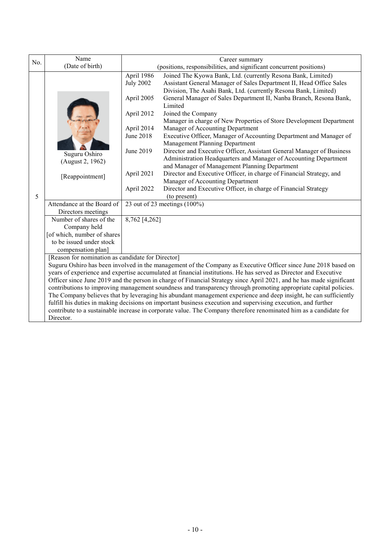| No. | Name<br>(Date of birth)                                                                                                                                                                                                            | Career summary                                                                                                       |                                                                                                                                                  |  |  |
|-----|------------------------------------------------------------------------------------------------------------------------------------------------------------------------------------------------------------------------------------|----------------------------------------------------------------------------------------------------------------------|--------------------------------------------------------------------------------------------------------------------------------------------------|--|--|
|     |                                                                                                                                                                                                                                    |                                                                                                                      | (positions, responsibilities, and significant concurrent positions)                                                                              |  |  |
|     |                                                                                                                                                                                                                                    | April 1986<br><b>July 2002</b>                                                                                       | Joined The Kyowa Bank, Ltd. (currently Resona Bank, Limited)<br>Assistant General Manager of Sales Department II, Head Office Sales              |  |  |
|     |                                                                                                                                                                                                                                    | April 2005                                                                                                           | Division, The Asahi Bank, Ltd. (currently Resona Bank, Limited)<br>General Manager of Sales Department II, Nanba Branch, Resona Bank,<br>Limited |  |  |
|     |                                                                                                                                                                                                                                    | April 2012                                                                                                           | Joined the Company<br>Manager in charge of New Properties of Store Development Department                                                        |  |  |
|     |                                                                                                                                                                                                                                    | April 2014                                                                                                           | Manager of Accounting Department                                                                                                                 |  |  |
|     |                                                                                                                                                                                                                                    | June 2018                                                                                                            | Executive Officer, Manager of Accounting Department and Manager of<br>Management Planning Department                                             |  |  |
|     | Suguru Oshiro                                                                                                                                                                                                                      | June 2019                                                                                                            | Director and Executive Officer, Assistant General Manager of Business<br>Administration Headquarters and Manager of Accounting Department        |  |  |
|     | (August 2, 1962)                                                                                                                                                                                                                   |                                                                                                                      | and Manager of Management Planning Department                                                                                                    |  |  |
|     | [Reappointment]                                                                                                                                                                                                                    | April 2021                                                                                                           | Director and Executive Officer, in charge of Financial Strategy, and                                                                             |  |  |
|     |                                                                                                                                                                                                                                    | April 2022                                                                                                           | Manager of Accounting Department<br>Director and Executive Officer, in charge of Financial Strategy                                              |  |  |
| 5   |                                                                                                                                                                                                                                    |                                                                                                                      | (to present)                                                                                                                                     |  |  |
|     | Attendance at the Board of                                                                                                                                                                                                         |                                                                                                                      | 23 out of 23 meetings $(100\%)$                                                                                                                  |  |  |
|     | Directors meetings                                                                                                                                                                                                                 |                                                                                                                      |                                                                                                                                                  |  |  |
|     | Number of shares of the                                                                                                                                                                                                            | 8,762 [4,262]                                                                                                        |                                                                                                                                                  |  |  |
|     | Company held                                                                                                                                                                                                                       |                                                                                                                      |                                                                                                                                                  |  |  |
|     | [of which, number of shares                                                                                                                                                                                                        |                                                                                                                      |                                                                                                                                                  |  |  |
|     | to be issued under stock                                                                                                                                                                                                           |                                                                                                                      |                                                                                                                                                  |  |  |
|     | compensation plan]                                                                                                                                                                                                                 |                                                                                                                      |                                                                                                                                                  |  |  |
|     | [Reason for nomination as candidate for Director]                                                                                                                                                                                  |                                                                                                                      |                                                                                                                                                  |  |  |
|     | Suguru Oshiro has been involved in the management of the Company as Executive Officer since June 2018 based on<br>years of experience and expertise accumulated at financial institutions. He has served as Director and Executive |                                                                                                                      |                                                                                                                                                  |  |  |
|     |                                                                                                                                                                                                                                    | Officer since June 2019 and the person in charge of Financial Strategy since April 2021, and he has made significant |                                                                                                                                                  |  |  |
|     |                                                                                                                                                                                                                                    |                                                                                                                      | contributions to improving management soundness and transparency through promoting appropriate capital policies.                                 |  |  |
|     |                                                                                                                                                                                                                                    |                                                                                                                      | The Company believes that by leveraging his abundant management experience and deep insight, he can sufficiently                                 |  |  |
|     |                                                                                                                                                                                                                                    |                                                                                                                      | fulfill his duties in making decisions on important business execution and supervising execution, and further                                    |  |  |
|     |                                                                                                                                                                                                                                    | contribute to a sustainable increase in corporate value. The Company therefore renominated him as a candidate for    |                                                                                                                                                  |  |  |
|     | Director.                                                                                                                                                                                                                          |                                                                                                                      |                                                                                                                                                  |  |  |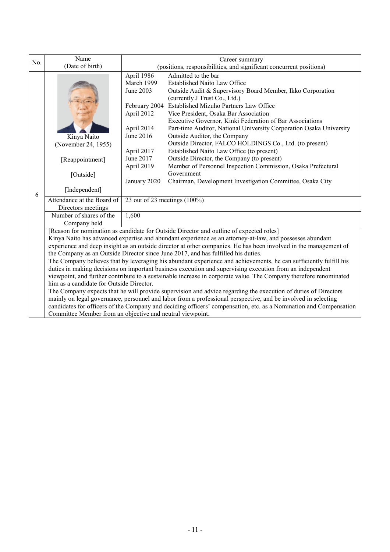| No. | Name<br>(Date of birth)                                                                                                                                                        | Career summary                                                                                                    |                                                                                                                |  |  |
|-----|--------------------------------------------------------------------------------------------------------------------------------------------------------------------------------|-------------------------------------------------------------------------------------------------------------------|----------------------------------------------------------------------------------------------------------------|--|--|
|     |                                                                                                                                                                                | (positions, responsibilities, and significant concurrent positions)                                               |                                                                                                                |  |  |
|     |                                                                                                                                                                                | April 1986                                                                                                        | Admitted to the bar                                                                                            |  |  |
|     |                                                                                                                                                                                | March 1999                                                                                                        | <b>Established Naito Law Office</b>                                                                            |  |  |
|     |                                                                                                                                                                                | June 2003                                                                                                         | Outside Audit & Supervisory Board Member, Ikko Corporation                                                     |  |  |
|     |                                                                                                                                                                                |                                                                                                                   | (currently J Trust Co., Ltd.)                                                                                  |  |  |
|     |                                                                                                                                                                                |                                                                                                                   | February 2004 Established Mizuho Partners Law Office                                                           |  |  |
|     |                                                                                                                                                                                | April 2012                                                                                                        | Vice President, Osaka Bar Association                                                                          |  |  |
|     |                                                                                                                                                                                |                                                                                                                   | Executive Governor, Kinki Federation of Bar Associations                                                       |  |  |
|     |                                                                                                                                                                                | April 2014<br>June 2016                                                                                           | Part-time Auditor, National University Corporation Osaka University                                            |  |  |
|     | Kinya Naito                                                                                                                                                                    |                                                                                                                   | Outside Auditor, the Company<br>Outside Director, FALCO HOLDINGS Co., Ltd. (to present)                        |  |  |
|     | (November 24, 1955)                                                                                                                                                            |                                                                                                                   |                                                                                                                |  |  |
|     |                                                                                                                                                                                | April 2017<br>June 2017                                                                                           | Established Naito Law Office (to present)<br>Outside Director, the Company (to present)                        |  |  |
|     | [Reappointment]                                                                                                                                                                | April 2019                                                                                                        | Member of Personnel Inspection Commission, Osaka Prefectural                                                   |  |  |
|     |                                                                                                                                                                                |                                                                                                                   | Government                                                                                                     |  |  |
|     | [Outside]                                                                                                                                                                      | January 2020                                                                                                      | Chairman, Development Investigation Committee, Osaka City                                                      |  |  |
| 6   | [Independent]                                                                                                                                                                  |                                                                                                                   |                                                                                                                |  |  |
|     | Attendance at the Board of                                                                                                                                                     | 23 out of 23 meetings $(100\%)$                                                                                   |                                                                                                                |  |  |
|     | Directors meetings                                                                                                                                                             |                                                                                                                   |                                                                                                                |  |  |
|     | Number of shares of the                                                                                                                                                        | 1,600                                                                                                             |                                                                                                                |  |  |
|     | Company held                                                                                                                                                                   |                                                                                                                   |                                                                                                                |  |  |
|     | [Reason for nomination as candidate for Outside Director and outline of expected roles]                                                                                        |                                                                                                                   |                                                                                                                |  |  |
|     | Kinya Naito has advanced expertise and abundant experience as an attorney-at-law, and possesses abundant                                                                       |                                                                                                                   |                                                                                                                |  |  |
|     | experience and deep insight as an outside director at other companies. He has been involved in the management of                                                               |                                                                                                                   |                                                                                                                |  |  |
|     | the Company as an Outside Director since June 2017, and has fulfilled his duties.                                                                                              |                                                                                                                   |                                                                                                                |  |  |
|     | The Company believes that by leveraging his abundant experience and achievements, he can sufficiently fulfill his                                                              |                                                                                                                   |                                                                                                                |  |  |
|     | duties in making decisions on important business execution and supervising execution from an independent                                                                       |                                                                                                                   |                                                                                                                |  |  |
|     |                                                                                                                                                                                | viewpoint, and further contribute to a sustainable increase in corporate value. The Company therefore renominated |                                                                                                                |  |  |
|     | him as a candidate for Outside Director.                                                                                                                                       |                                                                                                                   |                                                                                                                |  |  |
|     |                                                                                                                                                                                |                                                                                                                   | The Company expects that he will provide supervision and advice regarding the execution of duties of Directors |  |  |
|     | mainly on legal governance, personnel and labor from a professional perspective, and be involved in selecting                                                                  |                                                                                                                   |                                                                                                                |  |  |
|     | candidates for officers of the Company and deciding officers' compensation, etc. as a Nomination and Compensation<br>Committee Member from an objective and neutral viewpoint. |                                                                                                                   |                                                                                                                |  |  |
|     |                                                                                                                                                                                |                                                                                                                   |                                                                                                                |  |  |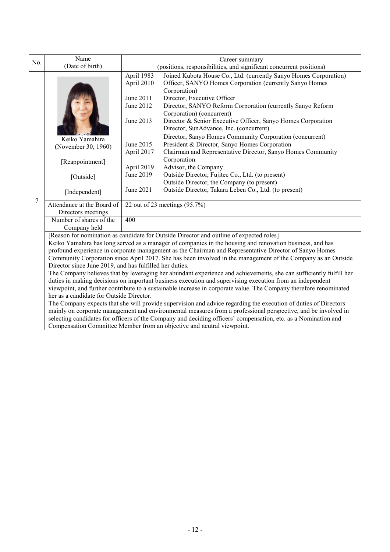| No.                                                     | Name                                                                                                            | Career summary                                                                                                                                                                                                                |                                                                                                                                              |  |  |
|---------------------------------------------------------|-----------------------------------------------------------------------------------------------------------------|-------------------------------------------------------------------------------------------------------------------------------------------------------------------------------------------------------------------------------|----------------------------------------------------------------------------------------------------------------------------------------------|--|--|
|                                                         | (Date of birth)                                                                                                 | (positions, responsibilities, and significant concurrent positions)                                                                                                                                                           |                                                                                                                                              |  |  |
|                                                         |                                                                                                                 | April 1983<br>April 2010                                                                                                                                                                                                      | Joined Kubota House Co., Ltd. (currently Sanyo Homes Corporation)<br>Officer, SANYO Homes Corporation (currently Sanyo Homes<br>Corporation) |  |  |
|                                                         |                                                                                                                 | June 2011                                                                                                                                                                                                                     | Director, Executive Officer                                                                                                                  |  |  |
|                                                         |                                                                                                                 | June 2012                                                                                                                                                                                                                     | Director, SANYO Reform Corporation (currently Sanyo Reform<br>Corporation) (concurrent)                                                      |  |  |
|                                                         |                                                                                                                 | June 2013                                                                                                                                                                                                                     | Director & Senior Executive Officer, Sanyo Homes Corporation<br>Director, SunAdvance, Inc. (concurrent)                                      |  |  |
|                                                         | Keiko Yamahira                                                                                                  |                                                                                                                                                                                                                               | Director, Sanyo Homes Community Corporation (concurrent)                                                                                     |  |  |
|                                                         | (November 30, 1960)                                                                                             | June 2015                                                                                                                                                                                                                     | President & Director, Sanyo Homes Corporation                                                                                                |  |  |
|                                                         |                                                                                                                 | April 2017                                                                                                                                                                                                                    | Chairman and Representative Director, Sanyo Homes Community<br>Corporation                                                                   |  |  |
|                                                         | [Reappointment]                                                                                                 | April 2019                                                                                                                                                                                                                    | Advisor, the Company                                                                                                                         |  |  |
|                                                         | [Outside]                                                                                                       | June 2019                                                                                                                                                                                                                     | Outside Director, Fujitec Co., Ltd. (to present)                                                                                             |  |  |
|                                                         |                                                                                                                 |                                                                                                                                                                                                                               | Outside Director, the Company (to present)                                                                                                   |  |  |
|                                                         | [Independent]                                                                                                   | June 2021                                                                                                                                                                                                                     | Outside Director, Takara Leben Co., Ltd. (to present)                                                                                        |  |  |
| 7                                                       | Attendance at the Board of<br>Directors meetings                                                                |                                                                                                                                                                                                                               | 22 out of 23 meetings $(95.7\%)$                                                                                                             |  |  |
|                                                         | Number of shares of the                                                                                         | 400                                                                                                                                                                                                                           |                                                                                                                                              |  |  |
|                                                         | Company held                                                                                                    |                                                                                                                                                                                                                               |                                                                                                                                              |  |  |
|                                                         | [Reason for nomination as candidate for Outside Director and outline of expected roles]                         |                                                                                                                                                                                                                               |                                                                                                                                              |  |  |
|                                                         | Keiko Yamahira has long served as a manager of companies in the housing and renovation business, and has        |                                                                                                                                                                                                                               |                                                                                                                                              |  |  |
|                                                         |                                                                                                                 |                                                                                                                                                                                                                               | profound experience in corporate management as the Chairman and Representative Director of Sanyo Homes                                       |  |  |
|                                                         |                                                                                                                 |                                                                                                                                                                                                                               | Community Corporation since April 2017. She has been involved in the management of the Company as an Outside                                 |  |  |
| Director since June 2019, and has fulfilled her duties. |                                                                                                                 |                                                                                                                                                                                                                               |                                                                                                                                              |  |  |
|                                                         |                                                                                                                 | The Company believes that by leveraging her abundant experience and achievements, she can sufficiently fulfill her                                                                                                            |                                                                                                                                              |  |  |
|                                                         |                                                                                                                 | duties in making decisions on important business execution and supervising execution from an independent<br>viewpoint, and further contribute to a sustainable increase in corporate value. The Company therefore renominated |                                                                                                                                              |  |  |
|                                                         | her as a candidate for Outside Director.                                                                        |                                                                                                                                                                                                                               |                                                                                                                                              |  |  |
|                                                         | The Company expects that she will provide supervision and advice regarding the execution of duties of Directors |                                                                                                                                                                                                                               |                                                                                                                                              |  |  |
|                                                         |                                                                                                                 |                                                                                                                                                                                                                               | mainly on corporate management and environmental measures from a professional perspective, and be involved in                                |  |  |
|                                                         |                                                                                                                 | selecting candidates for officers of the Company and deciding officers' compensation, etc. as a Nomination and                                                                                                                |                                                                                                                                              |  |  |
|                                                         | Compensation Committee Member from an objective and neutral viewpoint.                                          |                                                                                                                                                                                                                               |                                                                                                                                              |  |  |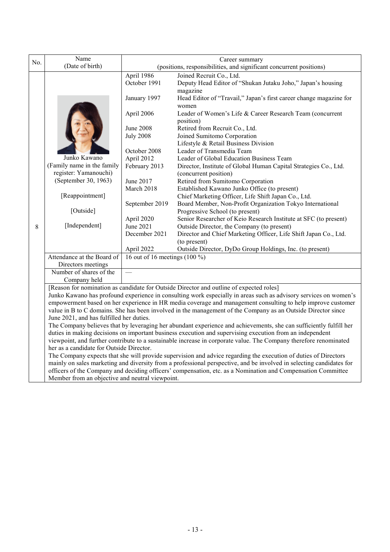| No.                                                                                                         | Name                                                                                                                                                        | Career summary                                                      |                                                                                                                      |  |  |
|-------------------------------------------------------------------------------------------------------------|-------------------------------------------------------------------------------------------------------------------------------------------------------------|---------------------------------------------------------------------|----------------------------------------------------------------------------------------------------------------------|--|--|
|                                                                                                             | (Date of birth)                                                                                                                                             | (positions, responsibilities, and significant concurrent positions) |                                                                                                                      |  |  |
|                                                                                                             |                                                                                                                                                             | April 1986                                                          | Joined Recruit Co., Ltd.                                                                                             |  |  |
|                                                                                                             |                                                                                                                                                             | October 1991                                                        | Deputy Head Editor of "Shukan Jutaku Joho," Japan's housing                                                          |  |  |
|                                                                                                             |                                                                                                                                                             |                                                                     | magazine                                                                                                             |  |  |
|                                                                                                             |                                                                                                                                                             | January 1997                                                        | Head Editor of "Travail," Japan's first career change magazine for                                                   |  |  |
|                                                                                                             |                                                                                                                                                             |                                                                     | women                                                                                                                |  |  |
|                                                                                                             |                                                                                                                                                             | April 2006                                                          | Leader of Women's Life & Career Research Team (concurrent                                                            |  |  |
|                                                                                                             |                                                                                                                                                             |                                                                     | position)                                                                                                            |  |  |
|                                                                                                             |                                                                                                                                                             | <b>June 2008</b>                                                    | Retired from Recruit Co., Ltd.                                                                                       |  |  |
|                                                                                                             |                                                                                                                                                             | <b>July 2008</b>                                                    | Joined Sumitomo Corporation                                                                                          |  |  |
|                                                                                                             |                                                                                                                                                             |                                                                     | Lifestyle & Retail Business Division                                                                                 |  |  |
|                                                                                                             |                                                                                                                                                             | October 2008                                                        | Leader of Transmedia Team                                                                                            |  |  |
|                                                                                                             | Junko Kawano                                                                                                                                                | April 2012                                                          | Leader of Global Education Business Team                                                                             |  |  |
|                                                                                                             | (Family name in the family<br>register: Yamanouchi)                                                                                                         | February 2013                                                       | Director, Institute of Global Human Capital Strategies Co., Ltd.                                                     |  |  |
|                                                                                                             | (September 30, 1963)                                                                                                                                        | June 2017                                                           | (concurrent position)                                                                                                |  |  |
|                                                                                                             |                                                                                                                                                             | March 2018                                                          | Retired from Sumitomo Corporation                                                                                    |  |  |
|                                                                                                             | [Reappointment]                                                                                                                                             |                                                                     | Established Kawano Junko Office (to present)                                                                         |  |  |
|                                                                                                             |                                                                                                                                                             | September 2019                                                      | Chief Marketing Officer, Life Shift Japan Co., Ltd.<br>Board Member, Non-Profit Organization Tokyo International     |  |  |
|                                                                                                             | [Outside]                                                                                                                                                   |                                                                     | Progressive School (to present)                                                                                      |  |  |
|                                                                                                             |                                                                                                                                                             | April 2020                                                          | Senior Researcher of Keio Research Institute at SFC (to present)                                                     |  |  |
| 8                                                                                                           | [Independent]                                                                                                                                               | June 2021                                                           | Outside Director, the Company (to present)                                                                           |  |  |
|                                                                                                             |                                                                                                                                                             | December 2021                                                       | Director and Chief Marketing Officer, Life Shift Japan Co., Ltd.                                                     |  |  |
|                                                                                                             |                                                                                                                                                             |                                                                     | (to present)                                                                                                         |  |  |
|                                                                                                             |                                                                                                                                                             | April 2022                                                          | Outside Director, DyDo Group Holdings, Inc. (to present)                                                             |  |  |
|                                                                                                             | Attendance at the Board of                                                                                                                                  | 16 out of 16 meetings $(100\%)$                                     |                                                                                                                      |  |  |
|                                                                                                             | Directors meetings                                                                                                                                          |                                                                     |                                                                                                                      |  |  |
|                                                                                                             | Number of shares of the                                                                                                                                     | <u>e a</u>                                                          |                                                                                                                      |  |  |
|                                                                                                             | Company held                                                                                                                                                |                                                                     |                                                                                                                      |  |  |
|                                                                                                             |                                                                                                                                                             |                                                                     | [Reason for nomination as candidate for Outside Director and outline of expected roles]                              |  |  |
|                                                                                                             |                                                                                                                                                             |                                                                     | Junko Kawano has profound experience in consulting work especially in areas such as advisory services on women's     |  |  |
| empowerment based on her experience in HR media coverage and management consulting to help improve customer |                                                                                                                                                             |                                                                     |                                                                                                                      |  |  |
|                                                                                                             |                                                                                                                                                             |                                                                     | value in B to C domains. She has been involved in the management of the Company as an Outside Director since         |  |  |
|                                                                                                             | June 2021, and has fulfilled her duties.                                                                                                                    |                                                                     |                                                                                                                      |  |  |
|                                                                                                             | The Company believes that by leveraging her abundant experience and achievements, she can sufficiently fulfill her                                          |                                                                     |                                                                                                                      |  |  |
|                                                                                                             | duties in making decisions on important business execution and supervising execution from an independent                                                    |                                                                     |                                                                                                                      |  |  |
|                                                                                                             | viewpoint, and further contribute to a sustainable increase in corporate value. The Company therefore renominated                                           |                                                                     |                                                                                                                      |  |  |
|                                                                                                             | her as a candidate for Outside Director.<br>The Company expects that she will provide supervision and advice regarding the execution of duties of Directors |                                                                     |                                                                                                                      |  |  |
|                                                                                                             |                                                                                                                                                             |                                                                     | mainly on sales marketing and diversity from a professional perspective, and be involved in selecting candidates for |  |  |
|                                                                                                             |                                                                                                                                                             |                                                                     | officers of the Company and deciding officers' compensation, etc. as a Nomination and Compensation Committee         |  |  |
|                                                                                                             |                                                                                                                                                             |                                                                     |                                                                                                                      |  |  |
|                                                                                                             | Member from an objective and neutral viewpoint.                                                                                                             |                                                                     |                                                                                                                      |  |  |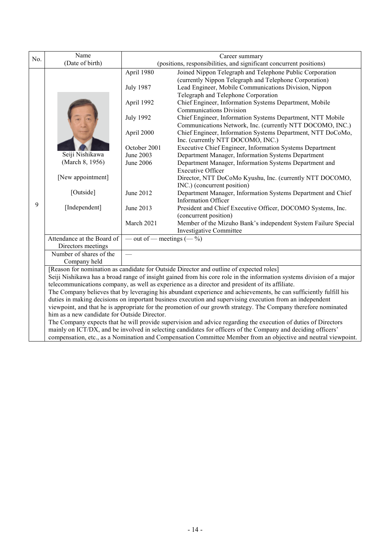| No. | Name                                                                                                                                                                                                             | Career summary                                                                                                  |                                                                                                                |  |  |  |  |
|-----|------------------------------------------------------------------------------------------------------------------------------------------------------------------------------------------------------------------|-----------------------------------------------------------------------------------------------------------------|----------------------------------------------------------------------------------------------------------------|--|--|--|--|
|     | (Date of birth)                                                                                                                                                                                                  | (positions, responsibilities, and significant concurrent positions)                                             |                                                                                                                |  |  |  |  |
|     |                                                                                                                                                                                                                  | April 1980                                                                                                      | Joined Nippon Telegraph and Telephone Public Corporation                                                       |  |  |  |  |
|     |                                                                                                                                                                                                                  |                                                                                                                 | (currently Nippon Telegraph and Telephone Corporation)                                                         |  |  |  |  |
|     |                                                                                                                                                                                                                  | <b>July 1987</b>                                                                                                | Lead Engineer, Mobile Communications Division, Nippon                                                          |  |  |  |  |
|     |                                                                                                                                                                                                                  |                                                                                                                 | Telegraph and Telephone Corporation                                                                            |  |  |  |  |
|     |                                                                                                                                                                                                                  | April 1992                                                                                                      | Chief Engineer, Information Systems Department, Mobile                                                         |  |  |  |  |
|     |                                                                                                                                                                                                                  |                                                                                                                 | <b>Communications Division</b>                                                                                 |  |  |  |  |
|     |                                                                                                                                                                                                                  | <b>July 1992</b>                                                                                                | Chief Engineer, Information Systems Department, NTT Mobile                                                     |  |  |  |  |
|     |                                                                                                                                                                                                                  |                                                                                                                 | Communications Network, Inc. (currently NTT DOCOMO, INC.)                                                      |  |  |  |  |
|     |                                                                                                                                                                                                                  | April 2000                                                                                                      | Chief Engineer, Information Systems Department, NTT DoCoMo,                                                    |  |  |  |  |
|     |                                                                                                                                                                                                                  |                                                                                                                 | Inc. (currently NTT DOCOMO, INC.)                                                                              |  |  |  |  |
|     |                                                                                                                                                                                                                  | October 2001                                                                                                    | Executive Chief Engineer, Information Systems Department                                                       |  |  |  |  |
|     | Seiji Nishikawa                                                                                                                                                                                                  | June 2003                                                                                                       | Department Manager, Information Systems Department                                                             |  |  |  |  |
|     | (March 8, 1956)                                                                                                                                                                                                  | <b>June 2006</b>                                                                                                | Department Manager, Information Systems Department and                                                         |  |  |  |  |
|     |                                                                                                                                                                                                                  |                                                                                                                 | <b>Executive Officer</b>                                                                                       |  |  |  |  |
|     | [New appointment]                                                                                                                                                                                                |                                                                                                                 | Director, NTT DoCoMo Kyushu, Inc. (currently NTT DOCOMO,                                                       |  |  |  |  |
|     |                                                                                                                                                                                                                  |                                                                                                                 | INC.) (concurrent position)                                                                                    |  |  |  |  |
|     | [Outside]                                                                                                                                                                                                        | June 2012                                                                                                       | Department Manager, Information Systems Department and Chief                                                   |  |  |  |  |
| 9   |                                                                                                                                                                                                                  |                                                                                                                 | <b>Information Officer</b>                                                                                     |  |  |  |  |
|     | [Independent]                                                                                                                                                                                                    | June 2013                                                                                                       | President and Chief Executive Officer, DOCOMO Systems, Inc.                                                    |  |  |  |  |
|     |                                                                                                                                                                                                                  |                                                                                                                 | (concurrent position)                                                                                          |  |  |  |  |
|     |                                                                                                                                                                                                                  | March 2021                                                                                                      | Member of the Mizuho Bank's independent System Failure Special                                                 |  |  |  |  |
|     |                                                                                                                                                                                                                  |                                                                                                                 | Investigative Committee                                                                                        |  |  |  |  |
|     | Attendance at the Board of                                                                                                                                                                                       | — out of — meetings $(-\%)$                                                                                     |                                                                                                                |  |  |  |  |
|     | Directors meetings<br>Number of shares of the                                                                                                                                                                    | <u>in a</u>                                                                                                     |                                                                                                                |  |  |  |  |
|     | Company held                                                                                                                                                                                                     |                                                                                                                 |                                                                                                                |  |  |  |  |
|     |                                                                                                                                                                                                                  |                                                                                                                 |                                                                                                                |  |  |  |  |
|     | [Reason for nomination as candidate for Outside Director and outline of expected roles]<br>Seiji Nishikawa has a broad range of insight gained from his core role in the information systems division of a major |                                                                                                                 |                                                                                                                |  |  |  |  |
|     | telecommunications company, as well as experience as a director and president of its affiliate.                                                                                                                  |                                                                                                                 |                                                                                                                |  |  |  |  |
|     | The Company believes that by leveraging his abundant experience and achievements, he can sufficiently fulfill his                                                                                                |                                                                                                                 |                                                                                                                |  |  |  |  |
|     | duties in making decisions on important business execution and supervising execution from an independent                                                                                                         |                                                                                                                 |                                                                                                                |  |  |  |  |
|     |                                                                                                                                                                                                                  | viewpoint, and that he is appropriate for the promotion of our growth strategy. The Company therefore nominated |                                                                                                                |  |  |  |  |
|     |                                                                                                                                                                                                                  |                                                                                                                 |                                                                                                                |  |  |  |  |
|     | him as a new candidate for Outside Director.                                                                                                                                                                     |                                                                                                                 | The Company expects that he will provide supervision and advice regarding the execution of duties of Directors |  |  |  |  |
|     | mainly on ICT/DX, and be involved in selecting candidates for officers of the Company and deciding officers'                                                                                                     |                                                                                                                 |                                                                                                                |  |  |  |  |
|     |                                                                                                                                                                                                                  |                                                                                                                 | compensation, etc., as a Nomination and Compensation Committee Member from an objective and neutral viewpoint. |  |  |  |  |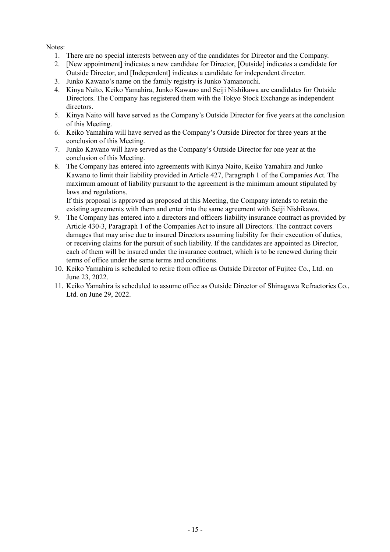# Notes:

- 1. There are no special interests between any of the candidates for Director and the Company.
- 2. [New appointment] indicates a new candidate for Director, [Outside] indicates a candidate for Outside Director, and [Independent] indicates a candidate for independent director.
- 3. Junko Kawano's name on the family registry is Junko Yamanouchi.
- 4. Kinya Naito, Keiko Yamahira, Junko Kawano and Seiji Nishikawa are candidates for Outside Directors. The Company has registered them with the Tokyo Stock Exchange as independent directors.
- 5. Kinya Naito will have served as the Company's Outside Director for five years at the conclusion of this Meeting.
- 6. Keiko Yamahira will have served as the Company's Outside Director for three years at the conclusion of this Meeting.
- 7. Junko Kawano will have served as the Company's Outside Director for one year at the conclusion of this Meeting.
- 8. The Company has entered into agreements with Kinya Naito, Keiko Yamahira and Junko Kawano to limit their liability provided in Article 427, Paragraph 1 of the Companies Act. The maximum amount of liability pursuant to the agreement is the minimum amount stipulated by laws and regulations.

If this proposal is approved as proposed at this Meeting, the Company intends to retain the existing agreements with them and enter into the same agreement with Seiji Nishikawa.

- 9. The Company has entered into a directors and officers liability insurance contract as provided by Article 430-3, Paragraph 1 of the Companies Act to insure all Directors. The contract covers damages that may arise due to insured Directors assuming liability for their execution of duties, or receiving claims for the pursuit of such liability. If the candidates are appointed as Director, each of them will be insured under the insurance contract, which is to be renewed during their terms of office under the same terms and conditions.
- 10. Keiko Yamahira is scheduled to retire from office as Outside Director of Fujitec Co., Ltd. on June 23, 2022.
- 11. Keiko Yamahira is scheduled to assume office as Outside Director of Shinagawa Refractories Co., Ltd. on June 29, 2022.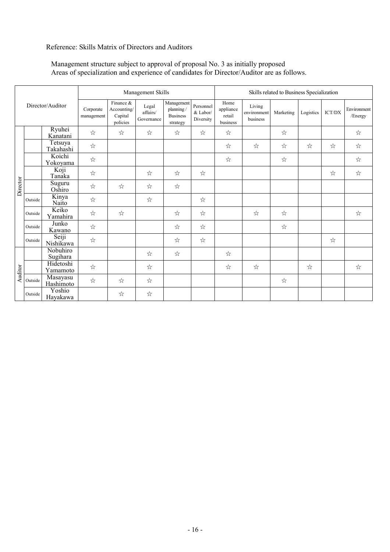# Reference: Skills Matrix of Directors and Auditors

# Management structure subject to approval of proposal No. 3 as initially proposed Areas of specialization and experience of candidates for Director/Auditor are as follows.

|                  |         |                         | Management Skills                               |                                 |                                                        |                                    | Skills related to Business Specialization |                                   |           |           |               |                        |   |
|------------------|---------|-------------------------|-------------------------------------------------|---------------------------------|--------------------------------------------------------|------------------------------------|-------------------------------------------|-----------------------------------|-----------|-----------|---------------|------------------------|---|
| Director/Auditor |         | Corporate<br>management | Finance &<br>Accounting/<br>Capital<br>policies | Legal<br>affairs/<br>Governance | Management<br>planning/<br><b>Business</b><br>strategy | Personnel<br>& Labor/<br>Diversity | Home<br>appliance<br>retail<br>business   | Living<br>environment<br>business | Marketing | Logistics | $\rm{ICT/DX}$ | Environment<br>/Energy |   |
|                  |         | Ryuhei<br>Kanatani      | ☆                                               | ☆                               | ☆                                                      | ☆                                  | ☆                                         | ☆                                 |           | ☆         |               |                        | ☆ |
|                  |         | Tetsuya<br>Takahashi    | ☆                                               |                                 |                                                        |                                    |                                           | ☆                                 | ☆         | ☆         | ☆             | ☆                      | ☆ |
|                  |         | Koichi<br>Yokoyama      | $\stackrel{\wedge}{\bowtie}$                    |                                 |                                                        |                                    |                                           | ☆                                 |           | ☆         |               |                        | ☆ |
|                  |         | Koji<br>Tanaka          | ☆                                               |                                 | ☆                                                      | ☆                                  | ☆                                         |                                   |           |           |               | ☆                      | ☆ |
| Director         |         | Suguru<br>Oshiro        | ☆                                               | ☆                               | ☆                                                      | ☆                                  |                                           |                                   |           |           |               |                        |   |
|                  | Outside | Kinya<br>Naito          | ☆                                               |                                 | ☆                                                      |                                    | ☆                                         |                                   |           |           |               |                        |   |
|                  | Outside | Keiko<br>Yamahira       | ☆                                               | ☆                               |                                                        | ☆                                  | ☆                                         |                                   | ☆         | ☆         |               |                        | ☆ |
|                  | Outside | Junko<br>Kawano         | ☆                                               |                                 |                                                        | ☆                                  | ☆                                         |                                   |           | ☆         |               |                        |   |
|                  | Outside | Seiji<br>Nishikawa      | ☆                                               |                                 |                                                        | ☆                                  | ☆                                         |                                   |           |           |               | ☆                      |   |
|                  |         | Nobuhiro<br>Sugihara    |                                                 |                                 | ☆                                                      | ☆                                  |                                           | ☆                                 |           |           |               |                        |   |
| Auditor          |         | Hidetoshi<br>Yamamoto   | ☆                                               |                                 | ☆                                                      |                                    |                                           | ☆                                 | ☆         |           | ☆             |                        | ☆ |
|                  | Outside | Masayasu<br>Hashimoto   | $\stackrel{\wedge}{\bowtie}$                    | ☆                               | ☆                                                      |                                    |                                           |                                   |           | ☆         |               |                        |   |
|                  | Outside | Yoshio<br>Hayakawa      |                                                 | ☆                               | ☆                                                      |                                    |                                           |                                   |           |           |               |                        |   |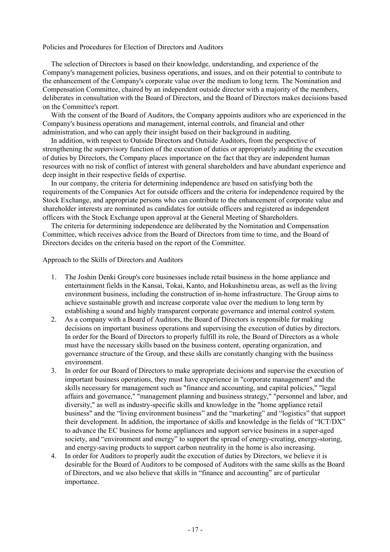### Policies and Procedures for Election of Directors and Auditors

The selection of Directors is based on their knowledge, understanding, and experience of the Company's management policies, business operations, and issues, and on their potential to contribute to the enhancement of the Company's corporate value over the medium to long term. The Nomination and Compensation Committee, chaired by an independent outside director with a majority of the members, deliberates in consultation with the Board of Directors, and the Board of Directors makes decisions based on the Committee's report.

With the consent of the Board of Auditors, the Company appoints auditors who are experienced in the Company's business operations and management, internal controls, and financial and other administration, and who can apply their insight based on their background in auditing.

In addition, with respect to Outside Directors and Outside Auditors, from the perspective of strengthening the supervisory function of the execution of duties or appropriately auditing the execution of duties by Directors, the Company places importance on the fact that they are independent human resources with no risk of conflict of interest with general shareholders and have abundant experience and deep insight in their respective fields of expertise.

In our company, the criteria for determining independence are based on satisfying both the requirements of the Companies Act for outside officers and the criteria for independence required by the Stock Exchange, and appropriate persons who can contribute to the enhancement of corporate value and shareholder interests are nominated as candidates for outside officers and registered as independent officers with the Stock Exchange upon approval at the General Meeting of Shareholders.

The criteria for determining independence are deliberated by the Nomination and Compensation Committee, which receives advice from the Board of Directors from time to time, and the Board of Directors decides on the criteria based on the report of the Committee.

Approach to the Skills of Directors and Auditors

- 1. The Joshin Denki Group's core businesses include retail business in the home appliance and entertainment fields in the Kansai, Tokai, Kanto, and Hokushinetsu areas, as well as the living environment business, including the construction of in-home infrastructure. The Group aims to achieve sustainable growth and increase corporate value over the medium to long term by establishing a sound and highly transparent corporate governance and internal control system.
- 2. As a company with a Board of Auditors, the Board of Directors is responsible for making decisions on important business operations and supervising the execution of duties by directors. In order for the Board of Directors to properly fulfill its role, the Board of Directors as a whole must have the necessary skills based on the business content, operating organization, and governance structure of the Group, and these skills are constantly changing with the business environment.
- 3. In order for our Board of Directors to make appropriate decisions and supervise the execution of important business operations, they must have experience in "corporate management" and the skills necessary for management such as "finance and accounting, and capital policies," "legal affairs and governance," "management planning and business strategy," "personnel and labor, and diversity," as well as industry-specific skills and knowledge in the "home appliance retail business" and the "living environment business" and the "marketing" and "logistics" that support their development. In addition, the importance of skills and knowledge in the fields of "ICT/DX" to advance the EC business for home appliances and support service business in a super-aged society, and "environment and energy" to support the spread of energy-creating, energy-storing, and energy-saving products to support carbon neutrality in the home is also increasing.
- 4. In order for Auditors to properly audit the execution of duties by Directors, we believe it is desirable for the Board of Auditors to be composed of Auditors with the same skills as the Board of Directors, and we also believe that skills in "finance and accounting" are of particular importance.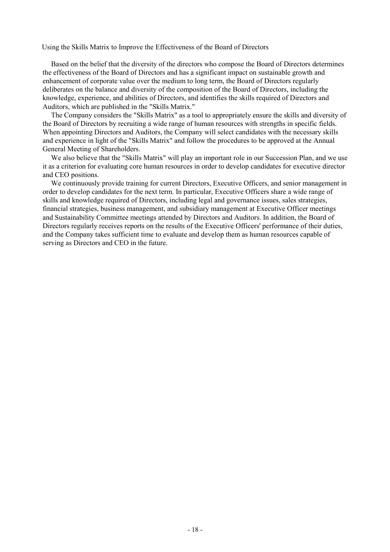Using the Skills Matrix to Improve the Effectiveness of the Board of Directors

Based on the belief that the diversity of the directors who compose the Board of Directors determines the effectiveness of the Board of Directors and has a significant impact on sustainable growth and enhancement of corporate value over the medium to long term, the Board of Directors regularly deliberates on the balance and diversity of the composition of the Board of Directors, including the knowledge, experience, and abilities of Directors, and identifies the skills required of Directors and Auditors, which are published in the "Skills Matrix."

The Company considers the "Skills Matrix" as a tool to appropriately ensure the skills and diversity of the Board of Directors by recruiting a wide range of human resources with strengths in specific fields. When appointing Directors and Auditors, the Company will select candidates with the necessary skills and experience in light of the "Skills Matrix" and follow the procedures to be approved at the Annual General Meeting of Shareholders.

We also believe that the "Skills Matrix" will play an important role in our Succession Plan, and we use it as a criterion for evaluating core human resources in order to develop candidates for executive director and CEO positions.

We continuously provide training for current Directors, Executive Officers, and senior management in order to develop candidates for the next term. In particular, Executive Officers share a wide range of skills and knowledge required of Directors, including legal and governance issues, sales strategies, financial strategies, business management, and subsidiary management at Executive Officer meetings and Sustainability Committee meetings attended by Directors and Auditors. In addition, the Board of Directors regularly receives reports on the results of the Executive Officers' performance of their duties, and the Company takes sufficient time to evaluate and develop them as human resources capable of serving as Directors and CEO in the future.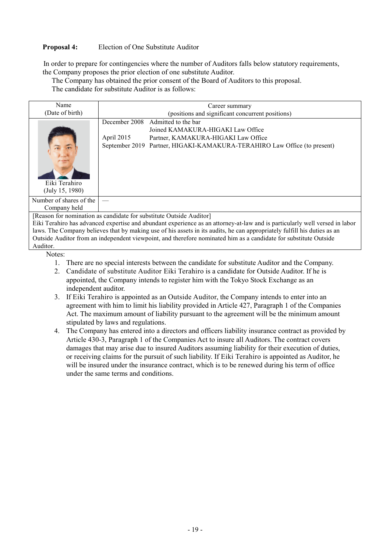# **Proposal 4:** Election of One Substitute Auditor

In order to prepare for contingencies where the number of Auditors falls below statutory requirements, the Company proposes the prior election of one substitute Auditor.

The Company has obtained the prior consent of the Board of Auditors to this proposal.

The candidate for substitute Auditor is as follows:

| Name                                                                                                                        | Career summary                                                           |  |  |  |  |
|-----------------------------------------------------------------------------------------------------------------------------|--------------------------------------------------------------------------|--|--|--|--|
| (Date of birth)                                                                                                             | (positions and significant concurrent positions)                         |  |  |  |  |
|                                                                                                                             | Admitted to the bar<br>December 2008                                     |  |  |  |  |
|                                                                                                                             | Joined KAMAKURA-HIGAKI Law Office                                        |  |  |  |  |
|                                                                                                                             | April 2015<br>Partner, KAMAKURA-HIGAKI Law Office                        |  |  |  |  |
|                                                                                                                             | September 2019 Partner, HIGAKI-KAMAKURA-TERAHIRO Law Office (to present) |  |  |  |  |
| Eiki Terahiro<br>(July 15, 1980)                                                                                            |                                                                          |  |  |  |  |
| Number of shares of the                                                                                                     |                                                                          |  |  |  |  |
| Company held                                                                                                                |                                                                          |  |  |  |  |
|                                                                                                                             | [Reason for nomination as candidate for substitute Outside Auditor]      |  |  |  |  |
| Eiki Terahiro has advanced expertise and abundant experience as an attorney-at-law and is particularly well versed in labor |                                                                          |  |  |  |  |

Eiki Terahiro has advanced expertise and abundant experience as an attorney-at-law and is particularly well versed in labor laws. The Company believes that by making use of his assets in its audits, he can appropriately fulfill his duties as an Outside Auditor from an independent viewpoint, and therefore nominated him as a candidate for substitute Outside Auditor.

Notes:

- 1. There are no special interests between the candidate for substitute Auditor and the Company.
- 2. Candidate of substitute Auditor Eiki Terahiro is a candidate for Outside Auditor. If he is appointed, the Company intends to register him with the Tokyo Stock Exchange as an independent auditor.
- 3. If Eiki Terahiro is appointed as an Outside Auditor, the Company intends to enter into an agreement with him to limit his liability provided in Article 427, Paragraph 1 of the Companies Act. The maximum amount of liability pursuant to the agreement will be the minimum amount stipulated by laws and regulations.
- 4. The Company has entered into a directors and officers liability insurance contract as provided by Article 430-3, Paragraph 1 of the Companies Act to insure all Auditors. The contract covers damages that may arise due to insured Auditors assuming liability for their execution of duties, or receiving claims for the pursuit of such liability. If Eiki Terahiro is appointed as Auditor, he will be insured under the insurance contract, which is to be renewed during his term of office under the same terms and conditions.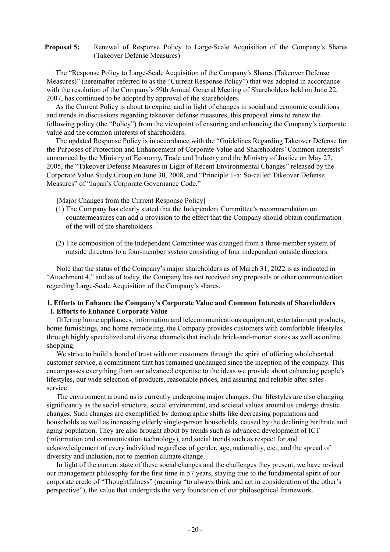### **Proposal 5:** Renewal of Response Policy to Large-Scale Acquisition of the Company's Shares (Takeover Defense Measures)

The "Response Policy to Large-Scale Acquisition of the Company's Shares (Takeover Defense Measures)" (hereinafter referred to as the "Current Response Policy") that was adopted in accordance with the resolution of the Company's 59th Annual General Meeting of Shareholders held on June 22, 2007, has continued to be adopted by approval of the shareholders.

As the Current Policy is about to expire, and in light of changes in social and economic conditions and trends in discussions regarding takeover defense measures, this proposal aims to renew the following policy (the "Policy") from the viewpoint of ensuring and enhancing the Company's corporate value and the common interests of shareholders.

The updated Response Policy is in accordance with the "Guidelines Regarding Takeover Defense for the Purposes of Protection and Enhancement of Corporate Value and Shareholders' Common interests" announced by the Ministry of Economy, Trade and Industry and the Ministry of Justice on May 27, 2005, the "Takeover Defense Measures in Light of Recent Environmental Changes" released by the Corporate Value Study Group on June 30, 2008, and "Principle 1-5: So-called Takeover Defense Measures" of "Japan's Corporate Governance Code."

[Major Changes from the Current Response Policy]

- (1) The Company has clearly stated that the Independent Committee's recommendation on countermeasures can add a provision to the effect that the Company should obtain confirmation of the will of the shareholders.
- (2) The composition of the Independent Committee was changed from a three-member system of outside directors to a four-member system consisting of four independent outside directors.

Note that the status of the Company's major shareholders as of March 31, 2022 is as indicated in "Attachment 4," and as of today, the Company has not received any proposals or other communication regarding Large-Scale Acquisition of the Company's shares.

### **1. Efforts to Enhance the Company's Corporate Value and Common Interests of Shareholders I. Efforts to Enhance Corporate Value**

Offering home appliances, information and telecommunications equipment, entertainment products, home furnishings, and home remodeling, the Company provides customers with comfortable lifestyles through highly specialized and diverse channels that include brick-and-mortar stores as well as online shopping.

We strive to build a bond of trust with our customers through the spirit of offering wholehearted customer service, a commitment that has remained unchanged since the inception of the company. This encompasses everything from our advanced expertise to the ideas we provide about enhancing people's lifestyles, our wide selection of products, reasonable prices, and assuring and reliable after-sales service.

The environment around us is currently undergoing major changes. Our lifestyles are also changing significantly as the social structure, social environment, and societal values around us undergo drastic changes. Such changes are exemplified by demographic shifts like decreasing populations and households as well as increasing elderly single-person households, caused by the declining birthrate and aging population. They are also brought about by trends such as advanced development of ICT (information and communication technology), and social trends such as respect for and acknowledgement of every individual regardless of gender, age, nationality, etc., and the spread of diversity and inclusion, not to mention climate change.

In light of the current state of these social changes and the challenges they present, we have revised our management philosophy for the first time in 57 years, staying true to the fundamental spirit of our corporate credo of "Thoughtfulness" (meaning "to always think and act in consideration of the other's perspective"), the value that undergirds the very foundation of our philosophical framework.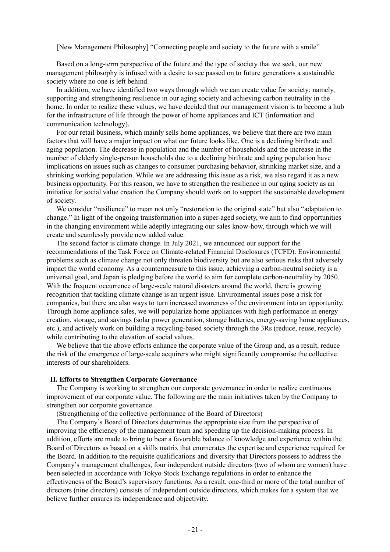[New Management Philosophy] "Connecting people and society to the future with a smile"

Based on a long-term perspective of the future and the type of society that we seek, our new management philosophy is infused with a desire to see passed on to future generations a sustainable society where no one is left behind.

In addition, we have identified two ways through which we can create value for society: namely, supporting and strengthening resilience in our aging society and achieving carbon neutrality in the home. In order to realize these values, we have decided that our management vision is to become a hub for the infrastructure of life through the power of home appliances and ICT (information and communication technology).

For our retail business, which mainly sells home appliances, we believe that there are two main factors that will have a major impact on what our future looks like. One is a declining birthrate and aging population. The decrease in population and the number of households and the increase in the number of elderly single-person households due to a declining birthrate and aging population have implications on issues such as changes to consumer purchasing behavior, shrinking market size, and a shrinking working population. While we are addressing this issue as a risk, we also regard it as a new business opportunity. For this reason, we have to strengthen the resilience in our aging society as an initiative for social value creation the Company should work on to support the sustainable development of society.

We consider "resilience" to mean not only "restoration to the original state" but also "adaptation to change." In light of the ongoing transformation into a super-aged society, we aim to find opportunities in the changing environment while adeptly integrating our sales know-how, through which we will create and seamlessly provide new added value.

The second factor is climate change. In July 2021, we announced our support for the recommendations of the Task Force on Climate-related Financial Disclosures (TCFD). Environmental problems such as climate change not only threaten biodiversity but are also serious risks that adversely impact the world economy. As a countermeasure to this issue, achieving a carbon-neutral society is a universal goal, and Japan is pledging before the world to aim for complete carbon-neutrality by 2050. With the frequent occurrence of large-scale natural disasters around the world, there is growing recognition that tackling climate change is an urgent issue. Environmental issues pose a risk for companies, but there are also ways to turn increased awareness of the environment into an opportunity. Through home appliance sales, we will popularize home appliances with high performance in energy creation, storage, and savings (solar power generation, storage batteries, energy-saving home appliances, etc.), and actively work on building a recycling-based society through the 3Rs (reduce, reuse, recycle) while contributing to the elevation of social values.

We believe that the above efforts enhance the corporate value of the Group and, as a result, reduce the risk of the emergence of large-scale acquirers who might significantly compromise the collective interests of our shareholders.

#### **II. Efforts to Strengthen Corporate Governance**

The Company is working to strengthen our corporate governance in order to realize continuous improvement of our corporate value. The following are the main initiatives taken by the Company to strengthen our corporate governance.

(Strengthening of the collective performance of the Board of Directors)

The Company's Board of Directors determines the appropriate size from the perspective of improving the efficiency of the management team and speeding up the decision-making process. In addition, efforts are made to bring to bear a favorable balance of knowledge and experience within the Board of Directors as based on a skills matrix that enumerates the expertise and experience required for the Board. In addition to the requisite qualifications and diversity that Directors possess to address the Company's management challenges, four independent outside directors (two of whom are women) have been selected in accordance with Tokyo Stock Exchange regulations in order to enhance the effectiveness of the Board's supervisory functions. As a result, one-third or more of the total number of directors (nine directors) consists of independent outside directors, which makes for a system that we believe further ensures its independence and objectivity.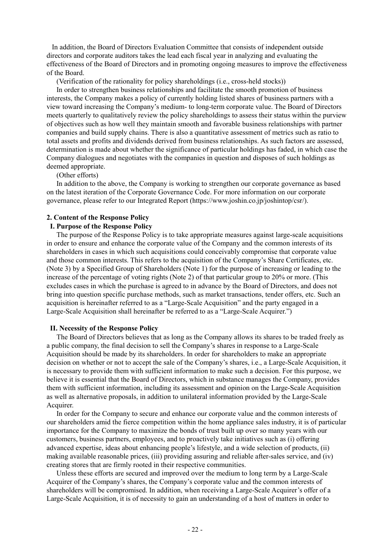In addition, the Board of Directors Evaluation Committee that consists of independent outside directors and corporate auditors takes the lead each fiscal year in analyzing and evaluating the effectiveness of the Board of Directors and in promoting ongoing measures to improve the effectiveness of the Board.

(Verification of the rationality for policy shareholdings (i.e., cross-held stocks))

In order to strengthen business relationships and facilitate the smooth promotion of business interests, the Company makes a policy of currently holding listed shares of business partners with a view toward increasing the Company's medium- to long-term corporate value. The Board of Directors meets quarterly to qualitatively review the policy shareholdings to assess their status within the purview of objectives such as how well they maintain smooth and favorable business relationships with partner companies and build supply chains. There is also a quantitative assessment of metrics such as ratio to total assets and profits and dividends derived from business relationships. As such factors are assessed, determination is made about whether the significance of particular holdings has faded, in which case the Company dialogues and negotiates with the companies in question and disposes of such holdings as deemed appropriate.

### (Other efforts)

In addition to the above, the Company is working to strengthen our corporate governance as based on the latest iteration of the Corporate Governance Code. For more information on our corporate governance, please refer to our Integrated Report [\(https://www.joshin.co.jp/joshintop/csr/\).](https://www.joshin.co.jp/joshintop/csr/)

### **2. Content of the Response Policy**

### **I. Purpose of the Response Policy**

The purpose of the Response Policy is to take appropriate measures against large-scale acquisitions in order to ensure and enhance the corporate value of the Company and the common interests of its shareholders in cases in which such acquisitions could conceivably compromise that corporate value and those common interests. This refers to the acquisition of the Company's Share Certificates, etc. (Note 3) by a Specified Group of Shareholders (Note 1) for the purpose of increasing or leading to the increase of the percentage of voting rights (Note 2) of that particular group to 20% or more. (This excludes cases in which the purchase is agreed to in advance by the Board of Directors, and does not bring into question specific purchase methods, such as market transactions, tender offers, etc. Such an acquisition is hereinafter referred to as a "Large-Scale Acquisition" and the party engaged in a Large-Scale Acquisition shall hereinafter be referred to as a "Large-Scale Acquirer.")

#### **II. Necessity of the Response Policy**

The Board of Directors believes that as long as the Company allows its shares to be traded freely as a public company, the final decision to sell the Company's shares in response to a Large-Scale Acquisition should be made by its shareholders. In order for shareholders to make an appropriate decision on whether or not to accept the sale of the Company's shares, i.e., a Large-Scale Acquisition, it is necessary to provide them with sufficient information to make such a decision. For this purpose, we believe it is essential that the Board of Directors, which in substance manages the Company, provides them with sufficient information, including its assessment and opinion on the Large-Scale Acquisition as well as alternative proposals, in addition to unilateral information provided by the Large-Scale Acquirer.

In order for the Company to secure and enhance our corporate value and the common interests of our shareholders amid the fierce competition within the home appliance sales industry, it is of particular importance for the Company to maximize the bonds of trust built up over so many years with our customers, business partners, employees, and to proactively take initiatives such as (i) offering advanced expertise, ideas about enhancing people's lifestyle, and a wide selection of products, (ii) making available reasonable prices, (iii) providing assuring and reliable after-sales service, and (iv) creating stores that are firmly rooted in their respective communities.

Unless these efforts are secured and improved over the medium to long term by a Large-Scale Acquirer of the Company's shares, the Company's corporate value and the common interests of shareholders will be compromised. In addition, when receiving a Large-Scale Acquirer's offer of a Large-Scale Acquisition, it is of necessity to gain an understanding of a host of matters in order to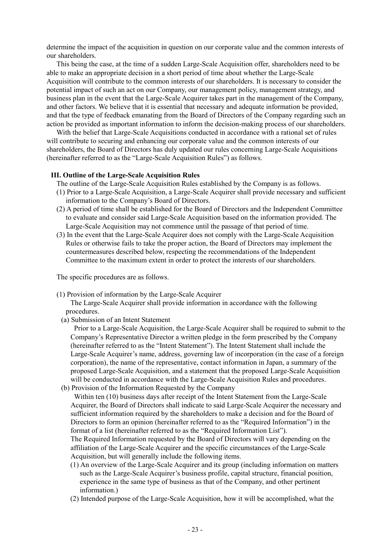determine the impact of the acquisition in question on our corporate value and the common interests of our shareholders.

This being the case, at the time of a sudden Large-Scale Acquisition offer, shareholders need to be able to make an appropriate decision in a short period of time about whether the Large-Scale Acquisition will contribute to the common interests of our shareholders. It is necessary to consider the potential impact of such an act on our Company, our management policy, management strategy, and business plan in the event that the Large-Scale Acquirer takes part in the management of the Company, and other factors. We believe that it is essential that necessary and adequate information be provided, and that the type of feedback emanating from the Board of Directors of the Company regarding such an action be provided as important information to inform the decision-making process of our shareholders.

With the belief that Large-Scale Acquisitions conducted in accordance with a rational set of rules will contribute to securing and enhancing our corporate value and the common interests of our shareholders, the Board of Directors has duly updated our rules concerning Large-Scale Acquisitions (hereinafter referred to as the "Large-Scale Acquisition Rules") as follows.

#### **III. Outline of the Large-Scale Acquisition Rules**

- The outline of the Large-Scale Acquisition Rules established by the Company is as follows.
- (1) Prior to a Large-Scale Acquisition, a Large-Scale Acquirer shall provide necessary and sufficient information to the Company's Board of Directors.
- (2) A period of time shall be established for the Board of Directors and the Independent Committee to evaluate and consider said Large-Scale Acquisition based on the information provided. The Large-Scale Acquisition may not commence until the passage of that period of time.
- (3) In the event that the Large-Scale Acquirer does not comply with the Large-Scale Acquisition Rules or otherwise fails to take the proper action, the Board of Directors may implement the countermeasures described below, respecting the recommendations of the Independent Committee to the maximum extent in order to protect the interests of our shareholders.

The specific procedures are as follows.

(1) Provision of information by the Large-Scale Acquirer

The Large-Scale Acquirer shall provide information in accordance with the following procedures.

(a) Submission of an Intent Statement

Prior to a Large-Scale Acquisition, the Large-Scale Acquirer shall be required to submit to the Company's Representative Director a written pledge in the form prescribed by the Company (hereinafter referred to as the "Intent Statement"). The Intent Statement shall include the Large-Scale Acquirer's name, address, governing law of incorporation (in the case of a foreign corporation), the name of the representative, contact information in Japan, a summary of the proposed Large-Scale Acquisition, and a statement that the proposed Large-Scale Acquisition will be conducted in accordance with the Large-Scale Acquisition Rules and procedures.

(b) Provision of the Information Requested by the Company Within ten (10) business days after receipt of the Intent Statement from the Large-Scale Acquirer, the Board of Directors shall indicate to said Large-Scale Acquirer the necessary and sufficient information required by the shareholders to make a decision and for the Board of Directors to form an opinion (hereinafter referred to as the "Required Information") in the format of a list (hereinafter referred to as the "Required Information List").

The Required Information requested by the Board of Directors will vary depending on the affiliation of the Large-Scale Acquirer and the specific circumstances of the Large-Scale Acquisition, but will generally include the following items.

- (1) An overview of the Large-Scale Acquirer and its group (including information on matters such as the Large-Scale Acquirer's business profile, capital structure, financial position, experience in the same type of business as that of the Company, and other pertinent information.)
- (2) Intended purpose of the Large-Scale Acquisition, how it will be accomplished, what the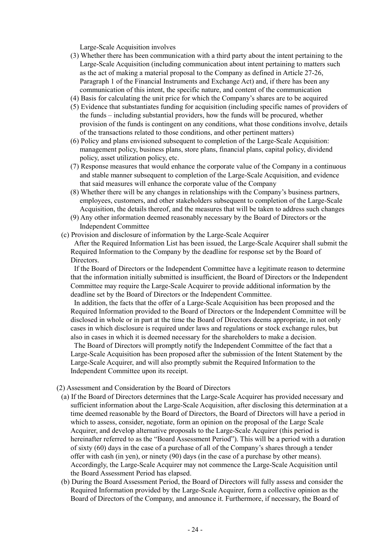Large-Scale Acquisition involves

- (3) Whether there has been communication with a third party about the intent pertaining to the Large-Scale Acquisition (including communication about intent pertaining to matters such as the act of making a material proposal to the Company as defined in Article 27-26, Paragraph 1 of the Financial Instruments and Exchange Act) and, if there has been any communication of this intent, the specific nature, and content of the communication
- (4) Basis for calculating the unit price for which the Company's shares are to be acquired
- (5) Evidence that substantiates funding for acquisition (including specific names of providers of the funds – including substantial providers, how the funds will be procured, whether provision of the funds is contingent on any conditions, what those conditions involve, details of the transactions related to those conditions, and other pertinent matters)
- (6) Policy and plans envisioned subsequent to completion of the Large-Scale Acquisition: management policy, business plans, store plans, financial plans, capital policy, dividend policy, asset utilization policy, etc.
- (7) Response measures that would enhance the corporate value of the Company in a continuous and stable manner subsequent to completion of the Large-Scale Acquisition, and evidence that said measures will enhance the corporate value of the Company
- (8) Whether there will be any changes in relationships with the Company's business partners, employees, customers, and other stakeholders subsequent to completion of the Large-Scale Acquisition, the details thereof, and the measures that will be taken to address such changes
- (9) Any other information deemed reasonably necessary by the Board of Directors or the Independent Committee
- (c) Provision and disclosure of information by the Large-Scale Acquirer

After the Required Information List has been issued, the Large-Scale Acquirer shall submit the Required Information to the Company by the deadline for response set by the Board of Directors.

If the Board of Directors or the Independent Committee have a legitimate reason to determine that the information initially submitted is insufficient, the Board of Directors or the Independent Committee may require the Large-Scale Acquirer to provide additional information by the deadline set by the Board of Directors or the Independent Committee.

In addition, the facts that the offer of a Large-Scale Acquisition has been proposed and the Required Information provided to the Board of Directors or the Independent Committee will be disclosed in whole or in part at the time the Board of Directors deems appropriate, in not only cases in which disclosure is required under laws and regulations or stock exchange rules, but also in cases in which it is deemed necessary for the shareholders to make a decision.

The Board of Directors will promptly notify the Independent Committee of the fact that a Large-Scale Acquisition has been proposed after the submission of the Intent Statement by the Large-Scale Acquirer, and will also promptly submit the Required Information to the Independent Committee upon its receipt.

- (2) Assessment and Consideration by the Board of Directors
- (a) If the Board of Directors determines that the Large-Scale Acquirer has provided necessary and sufficient information about the Large-Scale Acquisition, after disclosing this determination at a time deemed reasonable by the Board of Directors, the Board of Directors will have a period in which to assess, consider, negotiate, form an opinion on the proposal of the Large Scale Acquirer, and develop alternative proposals to the Large-Scale Acquirer (this period is hereinafter referred to as the "Board Assessment Period"). This will be a period with a duration of sixty (60) days in the case of a purchase of all of the Company's shares through a tender offer with cash (in yen), or ninety (90) days (in the case of a purchase by other means). Accordingly, the Large-Scale Acquirer may not commence the Large-Scale Acquisition until the Board Assessment Period has elapsed.
- (b) During the Board Assessment Period, the Board of Directors will fully assess and consider the Required Information provided by the Large-Scale Acquirer, form a collective opinion as the Board of Directors of the Company, and announce it. Furthermore, if necessary, the Board of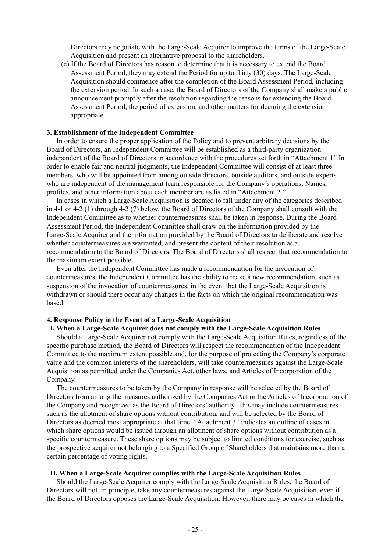Directors may negotiate with the Large-Scale Acquirer to improve the terms of the Large-Scale Acquisition and present an alternative proposal to the shareholders.

(c) If the Board of Directors has reason to determine that it is necessary to extend the Board Assessment Period, they may extend the Period for up to thirty (30) days. The Large-Scale Acquisition should commence after the completion of the Board Assessment Period, including the extension period. In such a case, the Board of Directors of the Company shall make a public announcement promptly after the resolution regarding the reasons for extending the Board Assessment Period, the period of extension, and other matters for deeming the extension appropriate.

### **3. Establishment of the Independent Committee**

In order to ensure the proper application of the Policy and to prevent arbitrary decisions by the Board of Directors, an Independent Committee will be established as a third-party organization independent of the Board of Directors in accordance with the procedures set forth in "Attachment 1" In order to enable fair and neutral judgments, the Independent Committee will consist of at least three members, who will be appointed from among outside directors, outside auditors, and outside experts who are independent of the management team responsible for the Company's operations. Names, profiles, and other information about each member are as listed in "Attachment 2."

In cases in which a Large-Scale Acquisition is deemed to fall under any of the categories described in 4-1 or 4-2 (1) through 4-2 (7) below, the Board of Directors of the Company shall consult with the Independent Committee as to whether countermeasures shall be taken in response. During the Board Assessment Period, the Independent Committee shall draw on the information provided by the Large-Scale Acquirer and the information provided by the Board of Directors to deliberate and resolve whether countermeasures are warranted, and present the content of their resolution as a recommendation to the Board of Directors. The Board of Directors shall respect that recommendation to the maximum extent possible.

Even after the Independent Committee has made a recommendation for the invocation of countermeasures, the Independent Committee has the ability to make a new recommendation, such as suspension of the invocation of countermeasures, in the event that the Large-Scale Acquisition is withdrawn or should there occur any changes in the facts on which the original recommendation was based.

### **4. Response Policy in the Event of a Large-Scale Acquisition**

#### **I. When a Large-Scale Acquirer does not comply with the Large-Scale Acquisition Rules**

Should a Large-Scale Acquirer not comply with the Large-Scale Acquisition Rules, regardless of the specific purchase method, the Board of Directors will respect the recommendation of the Independent Committee to the maximum extent possible and, for the purpose of protecting the Company's corporate value and the common interests of the shareholders, will take countermeasures against the Large-Scale Acquisition as permitted under the Companies Act, other laws, and Articles of Incorporation of the Company.

The countermeasures to be taken by the Company in response will be selected by the Board of Directors from among the measures authorized by the Companies Act or the Articles of Incorporation of the Company and recognized as the Board of Directors' authority. This may include countermeasures such as the allotment of share options without contribution, and will be selected by the Board of Directors as deemed most appropriate at that time. "Attachment 3" indicates an outline of cases in which share options would be issued through an allotment of share options without contribution as a specific countermeasure. These share options may be subject to limited conditions for exercise, such as the prospective acquirer not belonging to a Specified Group of Shareholders that maintains more than a certain percentage of voting rights.

### **II. When a Large-Scale Acquirer complies with the Large-Scale Acquisition Rules**

Should the Large-Scale Acquirer comply with the Large-Scale Acquisition Rules, the Board of Directors will not, in principle, take any countermeasures against the Large-Scale Acquisition, even if the Board of Directors opposes the Large-Scale Acquisition. However, there may be cases in which the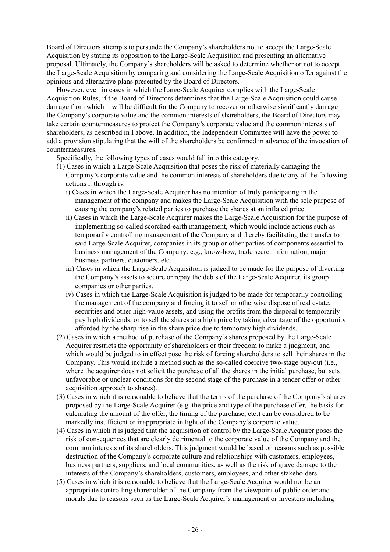Board of Directors attempts to persuade the Company's shareholders not to accept the Large-Scale Acquisition by stating its opposition to the Large-Scale Acquisition and presenting an alternative proposal. Ultimately, the Company's shareholders will be asked to determine whether or not to accept the Large-Scale Acquisition by comparing and considering the Large-Scale Acquisition offer against the opinions and alternative plans presented by the Board of Directors.

However, even in cases in which the Large-Scale Acquirer complies with the Large-Scale Acquisition Rules, if the Board of Directors determines that the Large-Scale Acquisition could cause damage from which it will be difficult for the Company to recover or otherwise significantly damage the Company's corporate value and the common interests of shareholders, the Board of Directors may take certain countermeasures to protect the Company's corporate value and the common interests of shareholders, as described in I above. In addition, the Independent Committee will have the power to add a provision stipulating that the will of the shareholders be confirmed in advance of the invocation of countermeasures.

Specifically, the following types of cases would fall into this category.

- (1) Cases in which a Large-Scale Acquisition that poses the risk of materially damaging the Company's corporate value and the common interests of shareholders due to any of the following actions i. through iv.
	- i) Cases in which the Large-Scale Acquirer has no intention of truly participating in the management of the company and makes the Large-Scale Acquisition with the sole purpose of causing the company's related parties to purchase the shares at an inflated price
	- ii) Cases in which the Large-Scale Acquirer makes the Large-Scale Acquisition for the purpose of implementing so-called scorched-earth management, which would include actions such as temporarily controlling management of the Company and thereby facilitating the transfer to said Large-Scale Acquirer, companies in its group or other parties of components essential to business management of the Company: e.g., know-how, trade secret information, major business partners, customers, etc.
	- iii) Cases in which the Large-Scale Acquisition is judged to be made for the purpose of diverting the Company's assets to secure or repay the debts of the Large-Scale Acquirer, its group companies or other parties.
	- iv) Cases in which the Large-Scale Acquisition is judged to be made for temporarily controlling the management of the company and forcing it to sell or otherwise dispose of real estate, securities and other high-value assets, and using the profits from the disposal to temporarily pay high dividends, or to sell the shares at a high price by taking advantage of the opportunity afforded by the sharp rise in the share price due to temporary high dividends.
- (2) Cases in which a method of purchase of the Company's shares proposed by the Large-Scale Acquirer restricts the opportunity of shareholders or their freedom to make a judgment, and which would be judged to in effect pose the risk of forcing shareholders to sell their shares in the Company. This would include a method such as the so-called coercive two-stage buy-out (i.e., where the acquirer does not solicit the purchase of all the shares in the initial purchase, but sets unfavorable or unclear conditions for the second stage of the purchase in a tender offer or other acquisition approach to shares).
- (3) Cases in which it is reasonable to believe that the terms of the purchase of the Company's shares proposed by the Large-Scale Acquirer (e.g. the price and type of the purchase offer, the basis for calculating the amount of the offer, the timing of the purchase, etc.) can be considered to be markedly insufficient or inappropriate in light of the Company's corporate value.
- (4) Cases in which it is judged that the acquisition of control by the Large-Scale Acquirer poses the risk of consequences that are clearly detrimental to the corporate value of the Company and the common interests of its shareholders. This judgment would be based on reasons such as possible destruction of the Company's corporate culture and relationships with customers, employees, business partners, suppliers, and local communities, as well as the risk of grave damage to the interests of the Company's shareholders, customers, employees, and other stakeholders.
- (5) Cases in which it is reasonable to believe that the Large-Scale Acquirer would not be an appropriate controlling shareholder of the Company from the viewpoint of public order and morals due to reasons such as the Large-Scale Acquirer's management or investors including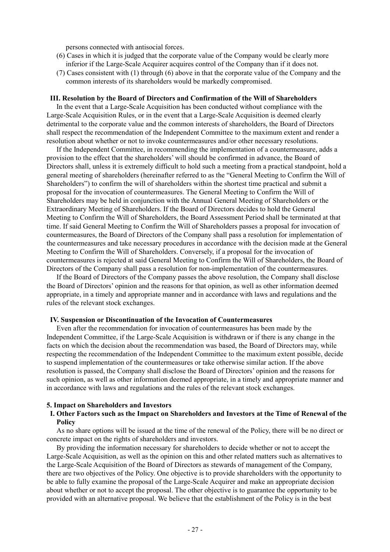persons connected with antisocial forces.

- (6) Cases in which it is judged that the corporate value of the Company would be clearly more inferior if the Large-Scale Acquirer acquires control of the Company than if it does not.
- (7) Cases consistent with (1) through (6) above in that the corporate value of the Company and the common interests of its shareholders would be markedly compromised.

#### **III. Resolution by the Board of Directors and Confirmation of the Will of Shareholders**

In the event that a Large-Scale Acquisition has been conducted without compliance with the Large-Scale Acquisition Rules, or in the event that a Large-Scale Acquisition is deemed clearly detrimental to the corporate value and the common interests of shareholders, the Board of Directors shall respect the recommendation of the Independent Committee to the maximum extent and render a resolution about whether or not to invoke countermeasures and/or other necessary resolutions.

If the Independent Committee, in recommending the implementation of a countermeasure, adds a provision to the effect that the shareholders' will should be confirmed in advance, the Board of Directors shall, unless it is extremely difficult to hold such a meeting from a practical standpoint, hold a general meeting of shareholders (hereinafter referred to as the "General Meeting to Confirm the Will of Shareholders") to confirm the will of shareholders within the shortest time practical and submit a proposal for the invocation of countermeasures. The General Meeting to Confirm the Will of Shareholders may be held in conjunction with the Annual General Meeting of Shareholders or the Extraordinary Meeting of Shareholders. If the Board of Directors decides to hold the General Meeting to Confirm the Will of Shareholders, the Board Assessment Period shall be terminated at that time. If said General Meeting to Confirm the Will of Shareholders passes a proposal for invocation of countermeasures, the Board of Directors of the Company shall pass a resolution for implementation of the countermeasures and take necessary procedures in accordance with the decision made at the General Meeting to Confirm the Will of Shareholders. Conversely, if a proposal for the invocation of countermeasures is rejected at said General Meeting to Confirm the Will of Shareholders, the Board of Directors of the Company shall pass a resolution for non-implementation of the countermeasures.

If the Board of Directors of the Company passes the above resolution, the Company shall disclose the Board of Directors' opinion and the reasons for that opinion, as well as other information deemed appropriate, in a timely and appropriate manner and in accordance with laws and regulations and the rules of the relevant stock exchanges.

#### **IV. Suspension or Discontinuation of the Invocation of Countermeasures**

Even after the recommendation for invocation of countermeasures has been made by the Independent Committee, if the Large-Scale Acquisition is withdrawn or if there is any change in the facts on which the decision about the recommendation was based, the Board of Directors may, while respecting the recommendation of the Independent Committee to the maximum extent possible, decide to suspend implementation of the countermeasures or take otherwise similar action. If the above resolution is passed, the Company shall disclose the Board of Directors' opinion and the reasons for such opinion, as well as other information deemed appropriate, in a timely and appropriate manner and in accordance with laws and regulations and the rules of the relevant stock exchanges.

### **5. Impact on Shareholders and Investors**

### **I. Other Factors such as the Impact on Shareholders and Investors at the Time of Renewal of the Policy**

As no share options will be issued at the time of the renewal of the Policy, there will be no direct or concrete impact on the rights of shareholders and investors.

By providing the information necessary for shareholders to decide whether or not to accept the Large-Scale Acquisition, as well as the opinion on this and other related matters such as alternatives to the Large-Scale Acquisition of the Board of Directors as stewards of management of the Company, there are two objectives of the Policy. One objective is to provide shareholders with the opportunity to be able to fully examine the proposal of the Large-Scale Acquirer and make an appropriate decision about whether or not to accept the proposal. The other objective is to guarantee the opportunity to be provided with an alternative proposal. We believe that the establishment of the Policy is in the best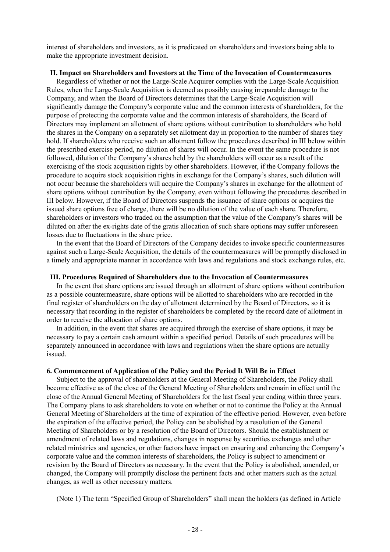interest of shareholders and investors, as it is predicated on shareholders and investors being able to make the appropriate investment decision.

### **II. Impact on Shareholders and Investors at the Time of the Invocation of Countermeasures**

Regardless of whether or not the Large-Scale Acquirer complies with the Large-Scale Acquisition Rules, when the Large-Scale Acquisition is deemed as possibly causing irreparable damage to the Company, and when the Board of Directors determines that the Large-Scale Acquisition will significantly damage the Company's corporate value and the common interests of shareholders, for the purpose of protecting the corporate value and the common interests of shareholders, the Board of Directors may implement an allotment of share options without contribution to shareholders who hold the shares in the Company on a separately set allotment day in proportion to the number of shares they hold. If shareholders who receive such an allotment follow the procedures described in III below within the prescribed exercise period, no dilution of shares will occur. In the event the same procedure is not followed, dilution of the Company's shares held by the shareholders will occur as a result of the exercising of the stock acquisition rights by other shareholders. However, if the Company follows the procedure to acquire stock acquisition rights in exchange for the Company's shares, such dilution will not occur because the shareholders will acquire the Company's shares in exchange for the allotment of share options without contribution by the Company, even without following the procedures described in III below. However, if the Board of Directors suspends the issuance of share options or acquires the issued share options free of charge, there will be no dilution of the value of each share. Therefore, shareholders or investors who traded on the assumption that the value of the Company's shares will be diluted on after the ex-rights date of the gratis allocation of such share options may suffer unforeseen losses due to fluctuations in the share price.

In the event that the Board of Directors of the Company decides to invoke specific countermeasures against such a Large-Scale Acquisition, the details of the countermeasures will be promptly disclosed in a timely and appropriate manner in accordance with laws and regulations and stock exchange rules, etc.

#### **III. Procedures Required of Shareholders due to the Invocation of Countermeasures**

In the event that share options are issued through an allotment of share options without contribution as a possible countermeasure, share options will be allotted to shareholders who are recorded in the final register of shareholders on the day of allotment determined by the Board of Directors, so it is necessary that recording in the register of shareholders be completed by the record date of allotment in order to receive the allocation of share options.

In addition, in the event that shares are acquired through the exercise of share options, it may be necessary to pay a certain cash amount within a specified period. Details of such procedures will be separately announced in accordance with laws and regulations when the share options are actually issued.

### **6. Commencement of Application of the Policy and the Period It Will Be in Effect**

Subject to the approval of shareholders at the General Meeting of Shareholders, the Policy shall become effective as of the close of the General Meeting of Shareholders and remain in effect until the close of the Annual General Meeting of Shareholders for the last fiscal year ending within three years. The Company plans to ask shareholders to vote on whether or not to continue the Policy at the Annual General Meeting of Shareholders at the time of expiration of the effective period. However, even before the expiration of the effective period, the Policy can be abolished by a resolution of the General Meeting of Shareholders or by a resolution of the Board of Directors. Should the establishment or amendment of related laws and regulations, changes in response by securities exchanges and other related ministries and agencies, or other factors have impact on ensuring and enhancing the Company's corporate value and the common interests of shareholders, the Policy is subject to amendment or revision by the Board of Directors as necessary. In the event that the Policy is abolished, amended, or changed, the Company will promptly disclose the pertinent facts and other matters such as the actual changes, as well as other necessary matters.

(Note 1) The term "Specified Group of Shareholders" shall mean the holders (as defined in Article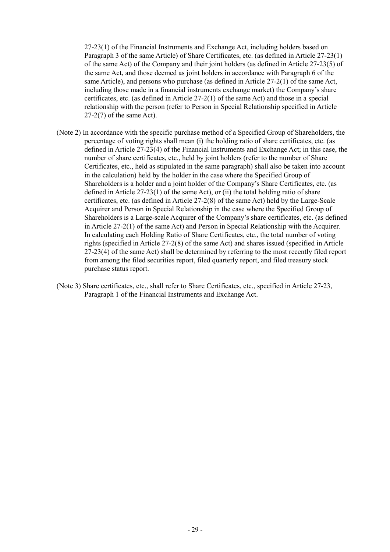27-23(1) of the Financial Instruments and Exchange Act, including holders based on Paragraph 3 of the same Article) of Share Certificates, etc. (as defined in Article 27-23(1) of the same Act) of the Company and their joint holders (as defined in Article 27-23(5) of the same Act, and those deemed as joint holders in accordance with Paragraph 6 of the same Article), and persons who purchase (as defined in Article 27-2(1) of the same Act, including those made in a financial instruments exchange market) the Company's share certificates, etc. (as defined in Article 27-2(1) of the same Act) and those in a special relationship with the person (refer to Person in Special Relationship specified in Article 27-2(7) of the same Act).

- (Note 2) In accordance with the specific purchase method of a Specified Group of Shareholders, the percentage of voting rights shall mean (i) the holding ratio of share certificates, etc. (as defined in Article 27-23(4) of the Financial Instruments and Exchange Act; in this case, the number of share certificates, etc., held by joint holders (refer to the number of Share Certificates, etc., held as stipulated in the same paragraph) shall also be taken into account in the calculation) held by the holder in the case where the Specified Group of Shareholders is a holder and a joint holder of the Company's Share Certificates, etc. (as defined in Article 27-23(1) of the same Act), or (ii) the total holding ratio of share certificates, etc. (as defined in Article 27-2(8) of the same Act) held by the Large-Scale Acquirer and Person in Special Relationship in the case where the Specified Group of Shareholders is a Large-scale Acquirer of the Company's share certificates, etc. (as defined in Article 27-2(1) of the same Act) and Person in Special Relationship with the Acquirer. In calculating each Holding Ratio of Share Certificates, etc., the total number of voting rights (specified in Article 27-2(8) of the same Act) and shares issued (specified in Article 27-23(4) of the same Act) shall be determined by referring to the most recently filed report from among the filed securities report, filed quarterly report, and filed treasury stock purchase status report.
- (Note 3) Share certificates, etc., shall refer to Share Certificates, etc., specified in Article 27-23, Paragraph 1 of the Financial Instruments and Exchange Act.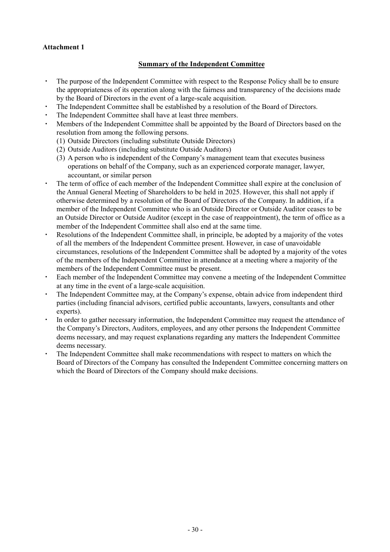# **Attachment 1**

# **Summary of the Independent Committee**

- The purpose of the Independent Committee with respect to the Response Policy shall be to ensure the appropriateness of its operation along with the fairness and transparency of the decisions made by the Board of Directors in the event of a large-scale acquisition.
- The Independent Committee shall be established by a resolution of the Board of Directors.
- The Independent Committee shall have at least three members.
- Members of the Independent Committee shall be appointed by the Board of Directors based on the resolution from among the following persons.
	- (1) Outside Directors (including substitute Outside Directors)
	- (2) Outside Auditors (including substitute Outside Auditors)
	- (3) A person who is independent of the Company's management team that executes business operations on behalf of the Company, such as an experienced corporate manager, lawyer, accountant, or similar person
- The term of office of each member of the Independent Committee shall expire at the conclusion of the Annual General Meeting of Shareholders to be held in 2025. However, this shall not apply if otherwise determined by a resolution of the Board of Directors of the Company. In addition, if a member of the Independent Committee who is an Outside Director or Outside Auditor ceases to be an Outside Director or Outside Auditor (except in the case of reappointment), the term of office as a member of the Independent Committee shall also end at the same time.
- ・ Resolutions of the Independent Committee shall, in principle, be adopted by a majority of the votes of all the members of the Independent Committee present. However, in case of unavoidable circumstances, resolutions of the Independent Committee shall be adopted by a majority of the votes of the members of the Independent Committee in attendance at a meeting where a majority of the members of the Independent Committee must be present.
- ・ Each member of the Independent Committee may convene a meeting of the Independent Committee at any time in the event of a large-scale acquisition.
- The Independent Committee may, at the Company's expense, obtain advice from independent third parties (including financial advisors, certified public accountants, lawyers, consultants and other experts).
- In order to gather necessary information, the Independent Committee may request the attendance of the Company's Directors, Auditors, employees, and any other persons the Independent Committee deems necessary, and may request explanations regarding any matters the Independent Committee deems necessary.
- The Independent Committee shall make recommendations with respect to matters on which the Board of Directors of the Company has consulted the Independent Committee concerning matters on which the Board of Directors of the Company should make decisions.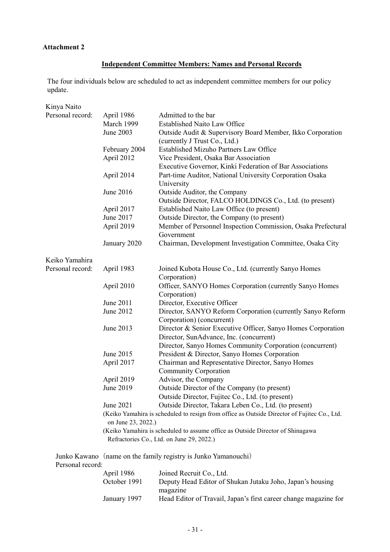# **Attachment 2**

# **Independent Committee Members: Names and Personal Records**

The four individuals below are scheduled to act as independent committee members for our policy update.

| Kinya Naito      |                                                                                                                   |                                                                                             |  |  |  |
|------------------|-------------------------------------------------------------------------------------------------------------------|---------------------------------------------------------------------------------------------|--|--|--|
| Personal record: | April 1986                                                                                                        | Admitted to the bar                                                                         |  |  |  |
|                  | March 1999                                                                                                        | <b>Established Naito Law Office</b>                                                         |  |  |  |
|                  | June 2003                                                                                                         | Outside Audit & Supervisory Board Member, Ikko Corporation<br>(currently J Trust Co., Ltd.) |  |  |  |
|                  | February 2004                                                                                                     | Established Mizuho Partners Law Office                                                      |  |  |  |
|                  | April 2012                                                                                                        | Vice President, Osaka Bar Association                                                       |  |  |  |
|                  |                                                                                                                   | Executive Governor, Kinki Federation of Bar Associations                                    |  |  |  |
|                  | April 2014                                                                                                        | Part-time Auditor, National University Corporation Osaka                                    |  |  |  |
|                  |                                                                                                                   | University                                                                                  |  |  |  |
|                  | June 2016                                                                                                         | Outside Auditor, the Company                                                                |  |  |  |
|                  |                                                                                                                   | Outside Director, FALCO HOLDINGS Co., Ltd. (to present)                                     |  |  |  |
|                  | April 2017                                                                                                        | Established Naito Law Office (to present)                                                   |  |  |  |
|                  | June 2017                                                                                                         | Outside Director, the Company (to present)                                                  |  |  |  |
|                  | April 2019                                                                                                        | Member of Personnel Inspection Commission, Osaka Prefectural                                |  |  |  |
|                  |                                                                                                                   | Government                                                                                  |  |  |  |
|                  | January 2020                                                                                                      | Chairman, Development Investigation Committee, Osaka City                                   |  |  |  |
| Keiko Yamahira   |                                                                                                                   |                                                                                             |  |  |  |
| Personal record: | April 1983                                                                                                        | Joined Kubota House Co., Ltd. (currently Sanyo Homes                                        |  |  |  |
|                  |                                                                                                                   | Corporation)                                                                                |  |  |  |
|                  | April 2010                                                                                                        | Officer, SANYO Homes Corporation (currently Sanyo Homes                                     |  |  |  |
|                  |                                                                                                                   | Corporation)                                                                                |  |  |  |
|                  | June 2011                                                                                                         | Director, Executive Officer                                                                 |  |  |  |
|                  | June 2012                                                                                                         | Director, SANYO Reform Corporation (currently Sanyo Reform                                  |  |  |  |
|                  |                                                                                                                   | Corporation) (concurrent)                                                                   |  |  |  |
|                  | June 2013                                                                                                         | Director & Senior Executive Officer, Sanyo Homes Corporation                                |  |  |  |
|                  |                                                                                                                   | Director, SunAdvance, Inc. (concurrent)                                                     |  |  |  |
|                  |                                                                                                                   | Director, Sanyo Homes Community Corporation (concurrent)                                    |  |  |  |
|                  | June 2015                                                                                                         | President & Director, Sanyo Homes Corporation                                               |  |  |  |
|                  | April 2017                                                                                                        | Chairman and Representative Director, Sanyo Homes                                           |  |  |  |
|                  |                                                                                                                   | <b>Community Corporation</b>                                                                |  |  |  |
|                  | April 2019                                                                                                        | Advisor, the Company                                                                        |  |  |  |
|                  | June 2019                                                                                                         | Outside Director of the Company (to present)                                                |  |  |  |
|                  |                                                                                                                   | Outside Director, Fujitec Co., Ltd. (to present)                                            |  |  |  |
|                  | June 2021                                                                                                         | Outside Director, Takara Leben Co., Ltd. (to present)                                       |  |  |  |
|                  | (Keiko Yamahira is scheduled to resign from office as Outside Director of Fujitec Co., Ltd.<br>on June 23, 2022.) |                                                                                             |  |  |  |
|                  | (Keiko Yamahira is scheduled to assume office as Outside Director of Shinagawa                                    |                                                                                             |  |  |  |
|                  |                                                                                                                   | Refractories Co., Ltd. on June 29, 2022.)                                                   |  |  |  |
|                  |                                                                                                                   |                                                                                             |  |  |  |

Junko Kawano (name on the family registry is Junko Yamanouchi) Personal record:

| April 1986   | Joined Recruit Co., Ltd.                                         |
|--------------|------------------------------------------------------------------|
| October 1991 | Deputy Head Editor of Shukan Jutaku Joho, Japan's housing        |
|              | magazine                                                         |
| January 1997 | Head Editor of Travail, Japan's first career change magazine for |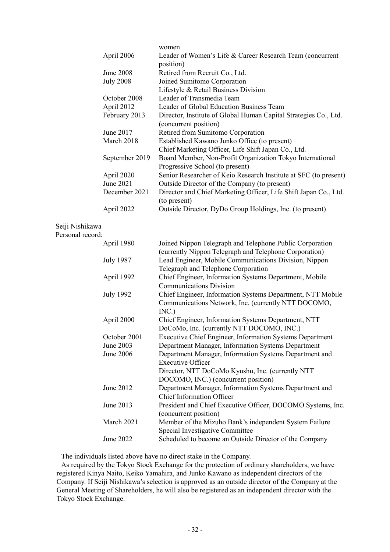|                  | women                                                            |
|------------------|------------------------------------------------------------------|
| April 2006       | Leader of Women's Life & Career Research Team (concurrent        |
|                  | position)                                                        |
| June 2008        | Retired from Recruit Co., Ltd.                                   |
| <b>July 2008</b> | Joined Sumitomo Corporation                                      |
|                  | Lifestyle & Retail Business Division                             |
| October 2008     | Leader of Transmedia Team                                        |
| April 2012       | Leader of Global Education Business Team                         |
| February 2013    | Director, Institute of Global Human Capital Strategies Co., Ltd. |
|                  | (concurrent position)                                            |
| June 2017        | Retired from Sumitomo Corporation                                |
| March 2018       | Established Kawano Junko Office (to present)                     |
|                  | Chief Marketing Officer, Life Shift Japan Co., Ltd.              |
| September 2019   | Board Member, Non-Profit Organization Tokyo International        |
|                  | Progressive School (to present)                                  |
| April 2020       | Senior Researcher of Keio Research Institute at SFC (to present) |
| June 2021        | Outside Director of the Company (to present)                     |
| December 2021    | Director and Chief Marketing Officer, Life Shift Japan Co., Ltd. |
|                  | (to present)                                                     |
| April 2022       | Outside Director, DyDo Group Holdings, Inc. (to present)         |

### Seiji Nishikawa

#### Personal record:

| April 1980       | Joined Nippon Telegraph and Telephone Public Corporation    |
|------------------|-------------------------------------------------------------|
|                  | (currently Nippon Telegraph and Telephone Corporation)      |
| <b>July 1987</b> | Lead Engineer, Mobile Communications Division, Nippon       |
|                  | Telegraph and Telephone Corporation                         |
| April 1992       | Chief Engineer, Information Systems Department, Mobile      |
|                  | <b>Communications Division</b>                              |
| <b>July 1992</b> | Chief Engineer, Information Systems Department, NTT Mobile  |
|                  | Communications Network, Inc. (currently NTT DOCOMO,         |
|                  | INC.)                                                       |
| April 2000       | Chief Engineer, Information Systems Department, NTT         |
|                  | DoCoMo, Inc. (currently NTT DOCOMO, INC.)                   |
| October 2001     | Executive Chief Engineer, Information Systems Department    |
| June 2003        | Department Manager, Information Systems Department          |
| June 2006        | Department Manager, Information Systems Department and      |
|                  | <b>Executive Officer</b>                                    |
|                  | Director, NTT DoCoMo Kyushu, Inc. (currently NTT            |
|                  | DOCOMO, INC.) (concurrent position)                         |
| June 2012        | Department Manager, Information Systems Department and      |
|                  | <b>Chief Information Officer</b>                            |
| June 2013        | President and Chief Executive Officer, DOCOMO Systems, Inc. |
|                  | (concurrent position)                                       |
| March 2021       | Member of the Mizuho Bank's independent System Failure      |
|                  | Special Investigative Committee                             |
| June 2022        | Scheduled to become an Outside Director of the Company      |
|                  |                                                             |

The individuals listed above have no direct stake in the Company.

As required by the Tokyo Stock Exchange for the protection of ordinary shareholders, we have registered Kinya Naito, Keiko Yamahira, and Junko Kawano as independent directors of the Company. If Seiji Nishikawa's selection is approved as an outside director of the Company at the General Meeting of Shareholders, he will also be registered as an independent director with the Tokyo Stock Exchange.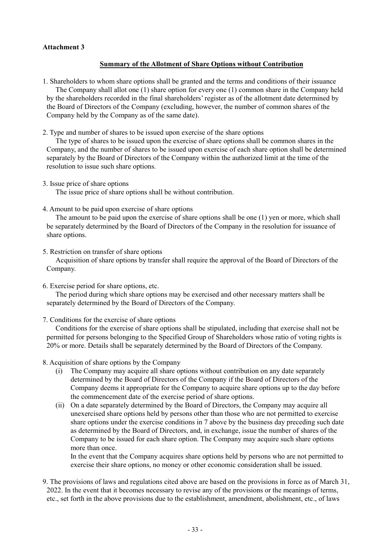# **Attachment 3**

# **Summary of the Allotment of Share Options without Contribution**

- 1. Shareholders to whom share options shall be granted and the terms and conditions of their issuance The Company shall allot one (1) share option for every one (1) common share in the Company held by the shareholders recorded in the final shareholders' register as of the allotment date determined by the Board of Directors of the Company (excluding, however, the number of common shares of the Company held by the Company as of the same date).
- 2. Type and number of shares to be issued upon exercise of the share options

The type of shares to be issued upon the exercise of share options shall be common shares in the Company, and the number of shares to be issued upon exercise of each share option shall be determined separately by the Board of Directors of the Company within the authorized limit at the time of the resolution to issue such share options.

3. Issue price of share options

The issue price of share options shall be without contribution.

4. Amount to be paid upon exercise of share options

The amount to be paid upon the exercise of share options shall be one (1) yen or more, which shall be separately determined by the Board of Directors of the Company in the resolution for issuance of share options.

5. Restriction on transfer of share options

Acquisition of share options by transfer shall require the approval of the Board of Directors of the Company.

6. Exercise period for share options, etc.

The period during which share options may be exercised and other necessary matters shall be separately determined by the Board of Directors of the Company.

7. Conditions for the exercise of share options

Conditions for the exercise of share options shall be stipulated, including that exercise shall not be permitted for persons belonging to the Specified Group of Shareholders whose ratio of voting rights is 20% or more. Details shall be separately determined by the Board of Directors of the Company.

- 8. Acquisition of share options by the Company
	- (i) The Company may acquire all share options without contribution on any date separately determined by the Board of Directors of the Company if the Board of Directors of the Company deems it appropriate for the Company to acquire share options up to the day before the commencement date of the exercise period of share options.
	- (ii) On a date separately determined by the Board of Directors, the Company may acquire all unexercised share options held by persons other than those who are not permitted to exercise share options under the exercise conditions in 7 above by the business day preceding such date as determined by the Board of Directors, and, in exchange, issue the number of shares of the Company to be issued for each share option. The Company may acquire such share options more than once.

In the event that the Company acquires share options held by persons who are not permitted to exercise their share options, no money or other economic consideration shall be issued.

9. The provisions of laws and regulations cited above are based on the provisions in force as of March 31, 2022. In the event that it becomes necessary to revise any of the provisions or the meanings of terms, etc., set forth in the above provisions due to the establishment, amendment, abolishment, etc., of laws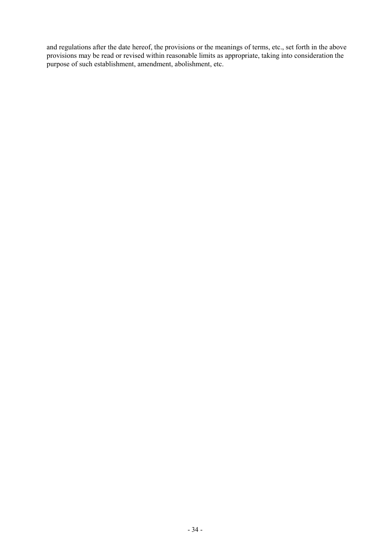and regulations after the date hereof, the provisions or the meanings of terms, etc., set forth in the above provisions may be read or revised within reasonable limits as appropriate, taking into consideration the purpose of such establishment, amendment, abolishment, etc.